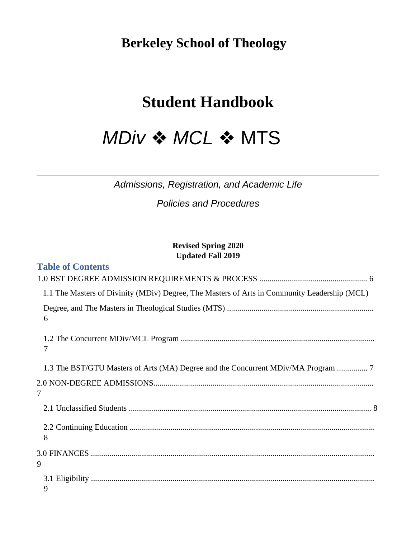**Berkeley School of Theology**

# **Student Handbook**

# *MDiv* ❖ *MCL* ❖ MTS

*Admissions, Registration, and Academic Life* 

*Policies and Procedures* 

### **Revised Spring 2020 Updated Fall 2019**

| <b>Table of Contents</b>                                                                     |
|----------------------------------------------------------------------------------------------|
|                                                                                              |
| 1.1 The Masters of Divinity (MDiv) Degree, The Masters of Arts in Community Leadership (MCL) |
| 6                                                                                            |
| 7                                                                                            |
|                                                                                              |
| 7                                                                                            |
|                                                                                              |
| 8                                                                                            |
| 9                                                                                            |
| 9                                                                                            |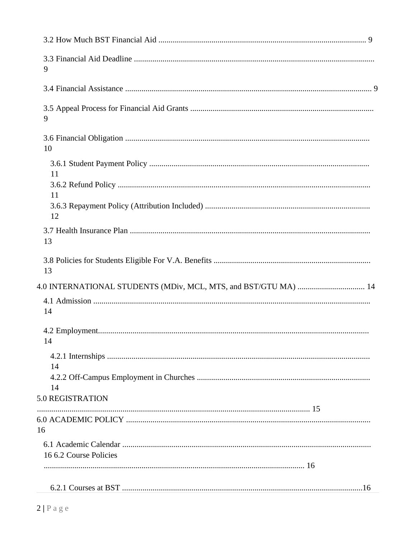| 9                                                               |  |
|-----------------------------------------------------------------|--|
|                                                                 |  |
| 9                                                               |  |
| 10                                                              |  |
| 11                                                              |  |
| 11                                                              |  |
| 12                                                              |  |
| 13                                                              |  |
| 13                                                              |  |
| 4.0 INTERNATIONAL STUDENTS (MDiv, MCL, MTS, and BST/GTU MA)  14 |  |
| 14                                                              |  |
| 14                                                              |  |
| 14                                                              |  |
| 14                                                              |  |
| 5.0 REGISTRATION                                                |  |
| 16                                                              |  |
| 16 6.2 Course Policies                                          |  |
|                                                                 |  |
|                                                                 |  |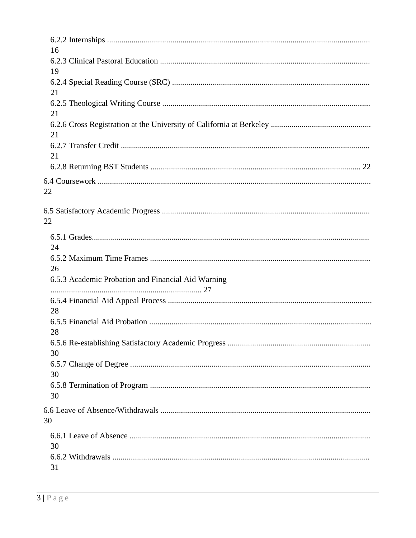| 16                                                 |
|----------------------------------------------------|
| 19                                                 |
| 21                                                 |
| 21                                                 |
| 21                                                 |
| 21                                                 |
|                                                    |
| 22                                                 |
| 22                                                 |
| 24                                                 |
| 26                                                 |
| 6.5.3 Academic Probation and Financial Aid Warning |
| 28                                                 |
| 28                                                 |
| 30                                                 |
| 30                                                 |
| 30                                                 |
| 30                                                 |
| 30                                                 |
| 31                                                 |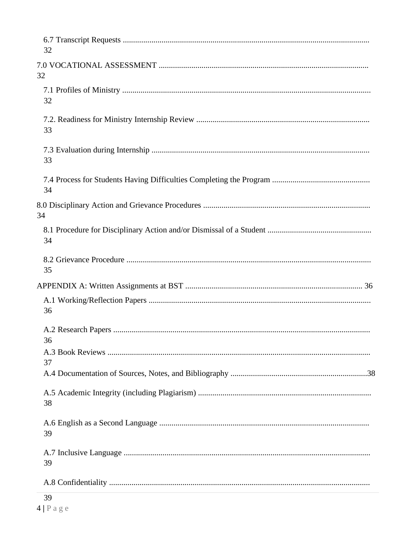| 32 |  |
|----|--|
| 32 |  |
| 32 |  |
| 33 |  |
| 33 |  |
| 34 |  |
| 34 |  |
| 34 |  |
| 35 |  |
|    |  |
| 36 |  |
| 36 |  |
|    |  |
| 37 |  |
| 38 |  |
| 39 |  |
| 39 |  |
|    |  |
|    |  |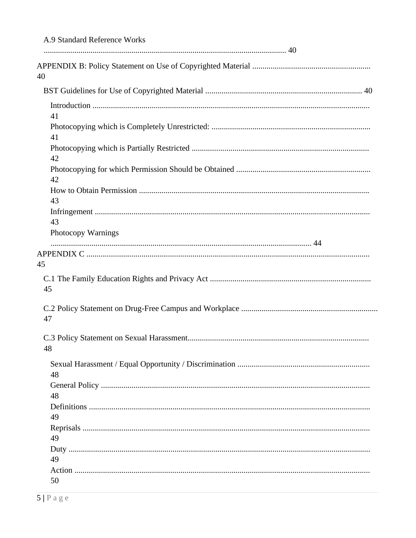| A.9 Standard Reference Works |
|------------------------------|
| 40                           |
|                              |
| 41                           |
| 41                           |
| 42                           |
| 42                           |
| 43                           |
| 43                           |
| <b>Photocopy Warnings</b>    |
| 45<br>45                     |
| 47                           |
| 48                           |
| 48                           |
| 48                           |
| 49                           |
| 49                           |
| 49                           |
| 50                           |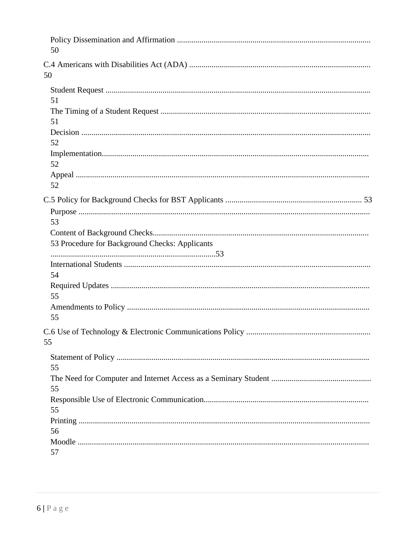| 50                                                   |  |
|------------------------------------------------------|--|
| 50                                                   |  |
| 51<br>51<br>52                                       |  |
| 52<br>52                                             |  |
| 53<br>53 Procedure for Background Checks: Applicants |  |
| 54<br>55<br>55                                       |  |
| 55                                                   |  |
| 55<br>55<br>55<br>56                                 |  |
| 57                                                   |  |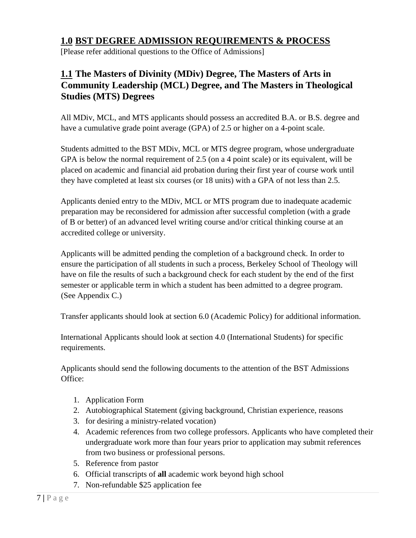# **1.0 BST DEGREE ADMISSION REQUIREMENTS & PROCESS**

[Please refer additional questions to the Office of Admissions]

# **1.1 The Masters of Divinity (MDiv) Degree, The Masters of Arts in Community Leadership (MCL) Degree, and The Masters in Theological Studies (MTS) Degrees**

All MDiv, MCL, and MTS applicants should possess an accredited B.A. or B.S. degree and have a cumulative grade point average (GPA) of 2.5 or higher on a 4-point scale.

Students admitted to the BST MDiv, MCL or MTS degree program, whose undergraduate GPA is below the normal requirement of 2.5 (on a 4 point scale) or its equivalent, will be placed on academic and financial aid probation during their first year of course work until they have completed at least six courses (or 18 units) with a GPA of not less than 2.5.

Applicants denied entry to the MDiv, MCL or MTS program due to inadequate academic preparation may be reconsidered for admission after successful completion (with a grade of B or better) of an advanced level writing course and/or critical thinking course at an accredited college or university.

Applicants will be admitted pending the completion of a background check. In order to ensure the participation of all students in such a process, Berkeley School of Theology will have on file the results of such a background check for each student by the end of the first semester or applicable term in which a student has been admitted to a degree program. (See Appendix C.)

Transfer applicants should look at section 6.0 (Academic Policy) for additional information.

International Applicants should look at section 4.0 (International Students) for specific requirements.

Applicants should send the following documents to the attention of the BST Admissions Office:

- 1. Application Form
- 2. Autobiographical Statement (giving background, Christian experience, reasons
- 3. for desiring a ministry-related vocation)
- 4. Academic references from two college professors. Applicants who have completed their undergraduate work more than four years prior to application may submit references from two business or professional persons.
- 5. Reference from pastor
- 6. Official transcripts of **all** academic work beyond high school
- 7. Non-refundable \$25 application fee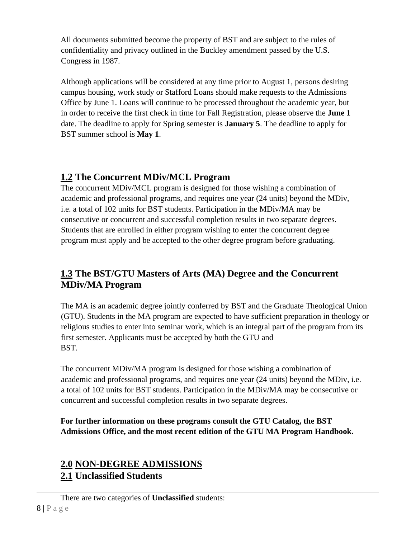All documents submitted become the property of BST and are subject to the rules of confidentiality and privacy outlined in the Buckley amendment passed by the U.S. Congress in 1987.

Although applications will be considered at any time prior to August 1, persons desiring campus housing, work study or Stafford Loans should make requests to the Admissions Office by June 1. Loans will continue to be processed throughout the academic year, but in order to receive the first check in time for Fall Registration, please observe the **June 1**  date. The deadline to apply for Spring semester is **January 5**. The deadline to apply for BST summer school is **May 1**.

# **1.2 The Concurrent MDiv/MCL Program**

The concurrent MDiv/MCL program is designed for those wishing a combination of academic and professional programs, and requires one year (24 units) beyond the MDiv, i.e. a total of 102 units for BST students. Participation in the MDiv/MA may be consecutive or concurrent and successful completion results in two separate degrees. Students that are enrolled in either program wishing to enter the concurrent degree program must apply and be accepted to the other degree program before graduating.

# **1.3 The BST/GTU Masters of Arts (MA) Degree and the Concurrent MDiv/MA Program**

The MA is an academic degree jointly conferred by BST and the Graduate Theological Union (GTU). Students in the MA program are expected to have sufficient preparation in theology or religious studies to enter into seminar work, which is an integral part of the program from its first semester. Applicants must be accepted by both the GTU and BST.

The concurrent MDiv/MA program is designed for those wishing a combination of academic and professional programs, and requires one year (24 units) beyond the MDiv, i.e. a total of 102 units for BST students. Participation in the MDiv/MA may be consecutive or concurrent and successful completion results in two separate degrees.

**For further information on these programs consult the GTU Catalog, the BST Admissions Office, and the most recent edition of the GTU MA Program Handbook.** 

# **2.0 NON-DEGREE ADMISSIONS 2.1 Unclassified Students**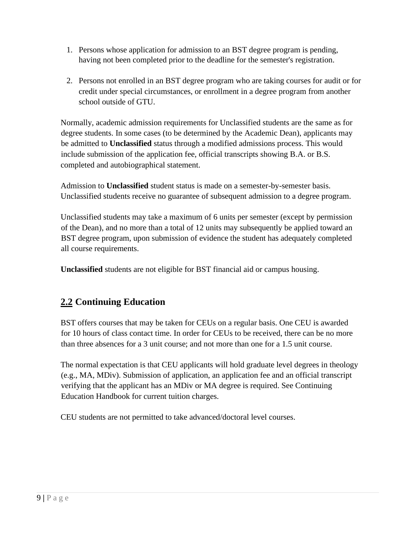- 1. Persons whose application for admission to an BST degree program is pending, having not been completed prior to the deadline for the semester's registration.
- 2. Persons not enrolled in an BST degree program who are taking courses for audit or for credit under special circumstances, or enrollment in a degree program from another school outside of GTU.

Normally, academic admission requirements for Unclassified students are the same as for degree students. In some cases (to be determined by the Academic Dean), applicants may be admitted to **Unclassified** status through a modified admissions process. This would include submission of the application fee, official transcripts showing B.A. or B.S. completed and autobiographical statement.

Admission to **Unclassified** student status is made on a semester-by-semester basis. Unclassified students receive no guarantee of subsequent admission to a degree program.

Unclassified students may take a maximum of 6 units per semester (except by permission of the Dean), and no more than a total of 12 units may subsequently be applied toward an BST degree program, upon submission of evidence the student has adequately completed all course requirements.

**Unclassified** students are not eligible for BST financial aid or campus housing.

# **2.2 Continuing Education**

BST offers courses that may be taken for CEUs on a regular basis. One CEU is awarded for 10 hours of class contact time. In order for CEUs to be received, there can be no more than three absences for a 3 unit course; and not more than one for a 1.5 unit course.

The normal expectation is that CEU applicants will hold graduate level degrees in theology (e.g., MA, MDiv). Submission of application, an application fee and an official transcript verifying that the applicant has an MDiv or MA degree is required. See Continuing Education Handbook for current tuition charges.

CEU students are not permitted to take advanced/doctoral level courses.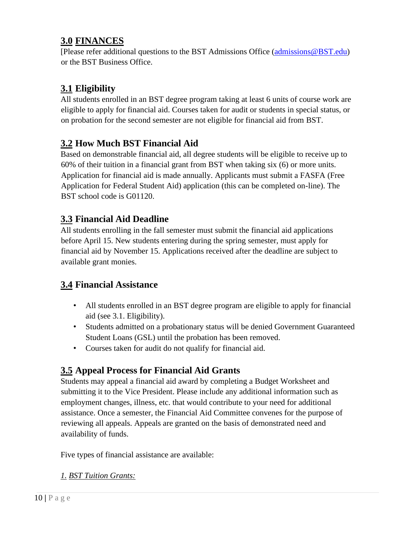# **3.0 FINANCES**

[Please refer additional questions to the BST Admissions Office (admissions@BST.edu) or the BST Business Office.

# **3.1 Eligibility**

All students enrolled in an BST degree program taking at least 6 units of course work are eligible to apply for financial aid. Courses taken for audit or students in special status, or on probation for the second semester are not eligible for financial aid from BST.

# **3.2 How Much BST Financial Aid**

Based on demonstrable financial aid, all degree students will be eligible to receive up to 60% of their tuition in a financial grant from BST when taking six (6) or more units. Application for financial aid is made annually. Applicants must submit a FASFA (Free Application for Federal Student Aid) application (this can be completed on-line). The BST school code is G01120.

### **3.3 Financial Aid Deadline**

All students enrolling in the fall semester must submit the financial aid applications before April 15. New students entering during the spring semester, must apply for financial aid by November 15. Applications received after the deadline are subject to available grant monies.

# **3.4 Financial Assistance**

- All students enrolled in an BST degree program are eligible to apply for financial aid (see 3.1. Eligibility).
- Students admitted on a probationary status will be denied Government Guaranteed Student Loans (GSL) until the probation has been removed.
- Courses taken for audit do not qualify for financial aid.

# **3.5 Appeal Process for Financial Aid Grants**

Students may appeal a financial aid award by completing a Budget Worksheet and submitting it to the Vice President. Please include any additional information such as employment changes, illness, etc. that would contribute to your need for additional assistance. Once a semester, the Financial Aid Committee convenes for the purpose of reviewing all appeals. Appeals are granted on the basis of demonstrated need and availability of funds.

Five types of financial assistance are available:

### *1. BST Tuition Grants:*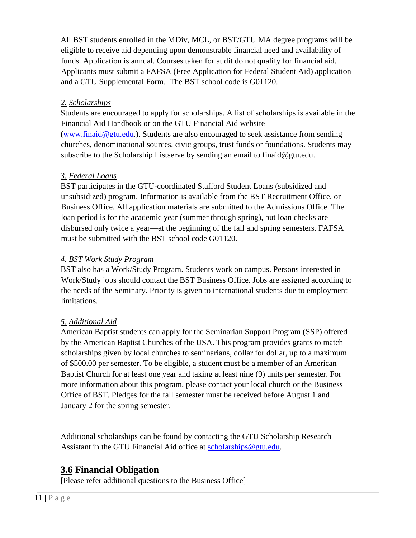All BST students enrolled in the MDiv, MCL, or BST/GTU MA degree programs will be eligible to receive aid depending upon demonstrable financial need and availability of funds. Application is annual. Courses taken for audit do not qualify for financial aid. Applicants must submit a FAFSA (Free Application for Federal Student Aid) application and a GTU Supplemental Form. The BST school code is G01120.

#### *2. Scholarships*

Students are encouraged to apply for scholarships. A list of scholarships is available in the Financial Aid Handbook or on the GTU Financial Aid website (www.finaid@gtu.edu.). Students are also encouraged to seek assistance from sending churches, denominational sources, civic groups, trust funds or foundations. Students may subscribe to the Scholarship Listserve by sending an email to finaid@gtu.edu.

#### *3. Federal Loans*

BST participates in the GTU-coordinated Stafford Student Loans (subsidized and unsubsidized) program. Information is available from the BST Recruitment Office, or Business Office. All application materials are submitted to the Admissions Office. The loan period is for the academic year (summer through spring), but loan checks are disbursed only twice a year—at the beginning of the fall and spring semesters. FAFSA must be submitted with the BST school code G01120.

#### *4. BST Work Study Program*

BST also has a Work/Study Program. Students work on campus. Persons interested in Work/Study jobs should contact the BST Business Office. Jobs are assigned according to the needs of the Seminary. Priority is given to international students due to employment limitations.

### *5. Additional Aid*

American Baptist students can apply for the Seminarian Support Program (SSP) offered by the American Baptist Churches of the USA. This program provides grants to match scholarships given by local churches to seminarians, dollar for dollar, up to a maximum of \$500.00 per semester. To be eligible, a student must be a member of an American Baptist Church for at least one year and taking at least nine (9) units per semester. For more information about this program, please contact your local church or the Business Office of BST. Pledges for the fall semester must be received before August 1 and January 2 for the spring semester.

Additional scholarships can be found by contacting the GTU Scholarship Research Assistant in the GTU Financial Aid office at scholarships@gtu.edu.

# **3.6 Financial Obligation**

[Please refer additional questions to the Business Office]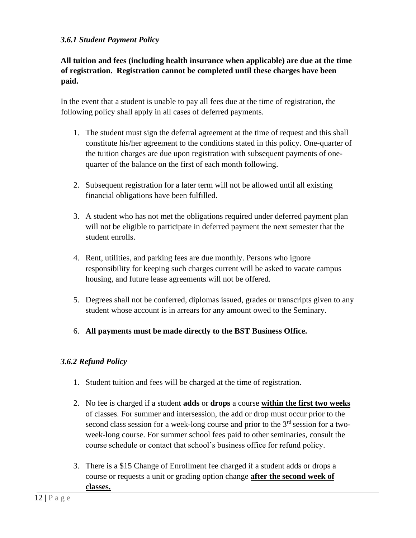#### *3.6.1 Student Payment Policy*

**All tuition and fees (including health insurance when applicable) are due at the time of registration. Registration cannot be completed until these charges have been paid.** 

In the event that a student is unable to pay all fees due at the time of registration, the following policy shall apply in all cases of deferred payments.

- 1. The student must sign the deferral agreement at the time of request and this shall constitute his/her agreement to the conditions stated in this policy. One-quarter of the tuition charges are due upon registration with subsequent payments of onequarter of the balance on the first of each month following.
- 2. Subsequent registration for a later term will not be allowed until all existing financial obligations have been fulfilled.
- 3. A student who has not met the obligations required under deferred payment plan will not be eligible to participate in deferred payment the next semester that the student enrolls.
- 4. Rent, utilities, and parking fees are due monthly. Persons who ignore responsibility for keeping such charges current will be asked to vacate campus housing, and future lease agreements will not be offered.
- 5. Degrees shall not be conferred, diplomas issued, grades or transcripts given to any student whose account is in arrears for any amount owed to the Seminary.
- 6. **All payments must be made directly to the BST Business Office.**

#### *3.6.2 Refund Policy*

- 1. Student tuition and fees will be charged at the time of registration.
- 2. No fee is charged if a student **adds** or **drops** a course **within the first two weeks** of classes. For summer and intersession, the add or drop must occur prior to the second class session for a week-long course and prior to the  $3<sup>rd</sup>$  session for a twoweek-long course. For summer school fees paid to other seminaries, consult the course schedule or contact that school's business office for refund policy.
- 3. There is a \$15 Change of Enrollment fee charged if a student adds or drops a course or requests a unit or grading option change **after the second week of classes.**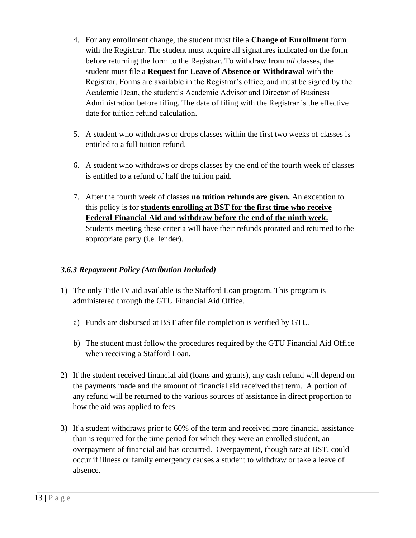- 4. For any enrollment change, the student must file a **Change of Enrollment** form with the Registrar. The student must acquire all signatures indicated on the form before returning the form to the Registrar. To withdraw from *all* classes, the student must file a **Request for Leave of Absence or Withdrawal** with the Registrar. Forms are available in the Registrar's office, and must be signed by the Academic Dean, the student's Academic Advisor and Director of Business Administration before filing. The date of filing with the Registrar is the effective date for tuition refund calculation.
- 5. A student who withdraws or drops classes within the first two weeks of classes is entitled to a full tuition refund.
- 6. A student who withdraws or drops classes by the end of the fourth week of classes is entitled to a refund of half the tuition paid.
- 7. After the fourth week of classes **no tuition refunds are given.** An exception to this policy is for **students enrolling at BST for the first time who receive Federal Financial Aid and withdraw before the end of the ninth week.**  Students meeting these criteria will have their refunds prorated and returned to the appropriate party (i.e. lender).

#### *3.6.3 Repayment Policy (Attribution Included)*

- 1) The only Title IV aid available is the Stafford Loan program. This program is administered through the GTU Financial Aid Office.
	- a) Funds are disbursed at BST after file completion is verified by GTU.
	- b) The student must follow the procedures required by the GTU Financial Aid Office when receiving a Stafford Loan.
- 2) If the student received financial aid (loans and grants), any cash refund will depend on the payments made and the amount of financial aid received that term. A portion of any refund will be returned to the various sources of assistance in direct proportion to how the aid was applied to fees.
- 3) If a student withdraws prior to 60% of the term and received more financial assistance than is required for the time period for which they were an enrolled student, an overpayment of financial aid has occurred. Overpayment, though rare at BST, could occur if illness or family emergency causes a student to withdraw or take a leave of absence.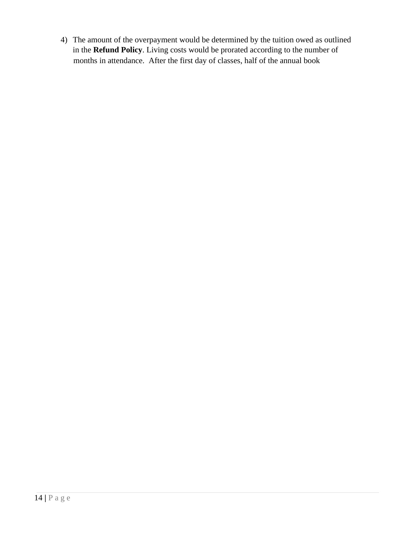4) The amount of the overpayment would be determined by the tuition owed as outlined in the **Refund Policy**. Living costs would be prorated according to the number of months in attendance. After the first day of classes, half of the annual book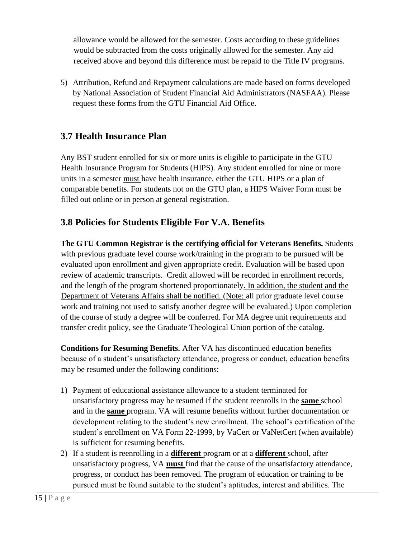allowance would be allowed for the semester. Costs according to these guidelines would be subtracted from the costs originally allowed for the semester. Any aid received above and beyond this difference must be repaid to the Title IV programs.

5) Attribution, Refund and Repayment calculations are made based on forms developed by National Association of Student Financial Aid Administrators (NASFAA). Please request these forms from the GTU Financial Aid Office.

### **3.7 Health Insurance Plan**

Any BST student enrolled for six or more units is eligible to participate in the GTU Health Insurance Program for Students (HIPS). Any student enrolled for nine or more units in a semester must have health insurance, either the GTU HIPS or a plan of comparable benefits. For students not on the GTU plan, a HIPS Waiver Form must be filled out online or in person at general registration.

### **3.8 Policies for Students Eligible For V.A. Benefits**

**The GTU Common Registrar is the certifying official for Veterans Benefits.** Students with previous graduate level course work/training in the program to be pursued will be evaluated upon enrollment and given appropriate credit. Evaluation will be based upon review of academic transcripts. Credit allowed will be recorded in enrollment records, and the length of the program shortened proportionately. In addition, the student and the Department of Veterans Affairs shall be notified. (Note: all prior graduate level course work and training not used to satisfy another degree will be evaluated.) Upon completion of the course of study a degree will be conferred. For MA degree unit requirements and transfer credit policy, see the Graduate Theological Union portion of the catalog.

**Conditions for Resuming Benefits.** After VA has discontinued education benefits because of a student's unsatisfactory attendance, progress or conduct, education benefits may be resumed under the following conditions:

- 1) Payment of educational assistance allowance to a student terminated for unsatisfactory progress may be resumed if the student reenrolls in the **same** school and in the **same** program. VA will resume benefits without further documentation or development relating to the student's new enrollment. The school's certification of the student's enrollment on VA Form 22-1999, by VaCert or VaNetCert (when available) is sufficient for resuming benefits.
- 2) If a student is reenrolling in a **different** program or at a **different** school, after unsatisfactory progress, VA **must** find that the cause of the unsatisfactory attendance, progress, or conduct has been removed. The program of education or training to be pursued must be found suitable to the student's aptitudes, interest and abilities. The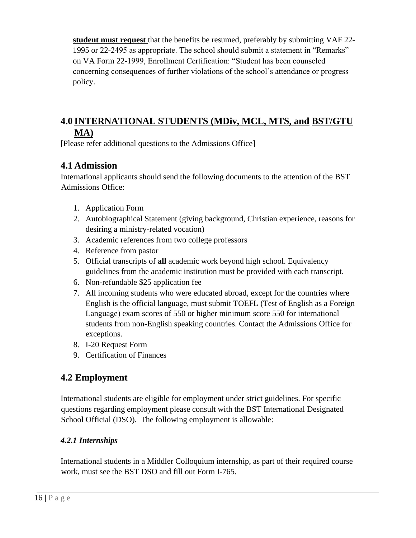**student must request** that the benefits be resumed, preferably by submitting VAF 22- 1995 or 22-2495 as appropriate. The school should submit a statement in "Remarks" on VA Form 22-1999, Enrollment Certification: "Student has been counseled concerning consequences of further violations of the school's attendance or progress policy.

# **4.0 INTERNATIONAL STUDENTS (MDiv, MCL, MTS, and BST/GTU MA)**

[Please refer additional questions to the Admissions Office]

# **4.1 Admission**

International applicants should send the following documents to the attention of the BST Admissions Office:

- 1. Application Form
- 2. Autobiographical Statement (giving background, Christian experience, reasons for desiring a ministry-related vocation)
- 3. Academic references from two college professors
- 4. Reference from pastor
- 5. Official transcripts of **all** academic work beyond high school. Equivalency guidelines from the academic institution must be provided with each transcript.
- 6. Non-refundable \$25 application fee
- 7. All incoming students who were educated abroad, except for the countries where English is the official language, must submit TOEFL (Test of English as a Foreign Language) exam scores of 550 or higher minimum score 550 for international students from non-English speaking countries. Contact the Admissions Office for exceptions.
- 8. I-20 Request Form
- 9. Certification of Finances

# **4.2 Employment**

International students are eligible for employment under strict guidelines. For specific questions regarding employment please consult with the BST International Designated School Official (DSO). The following employment is allowable:

### *4.2.1 Internships*

International students in a Middler Colloquium internship, as part of their required course work, must see the BST DSO and fill out Form I-765.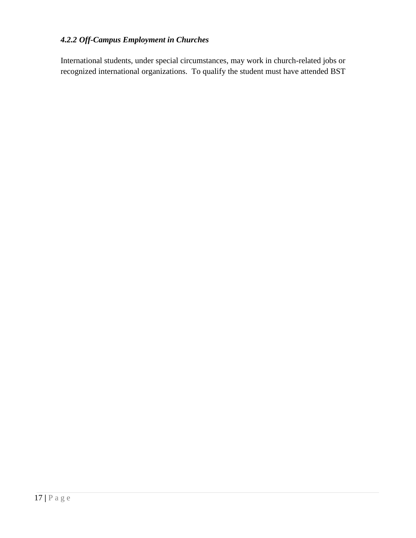### *4.2.2 Off-Campus Employment in Churches*

International students, under special circumstances, may work in church-related jobs or recognized international organizations. To qualify the student must have attended BST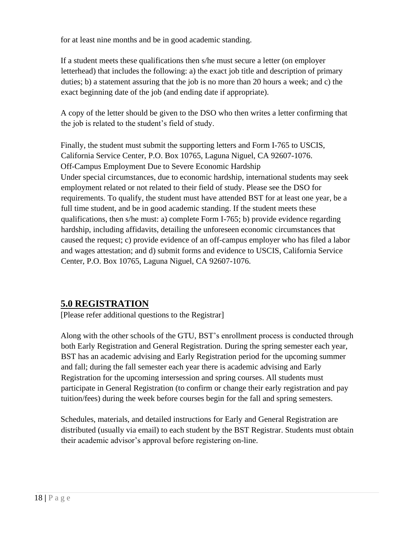for at least nine months and be in good academic standing.

If a student meets these qualifications then s/he must secure a letter (on employer letterhead) that includes the following: a) the exact job title and description of primary duties; b) a statement assuring that the job is no more than 20 hours a week; and c) the exact beginning date of the job (and ending date if appropriate).

A copy of the letter should be given to the DSO who then writes a letter confirming that the job is related to the student's field of study.

Finally, the student must submit the supporting letters and Form I-765 to USCIS, California Service Center, P.O. Box 10765, Laguna Niguel, CA 92607-1076. Off-Campus Employment Due to Severe Economic Hardship Under special circumstances, due to economic hardship, international students may seek employment related or not related to their field of study. Please see the DSO for requirements. To qualify, the student must have attended BST for at least one year, be a full time student, and be in good academic standing. If the student meets these qualifications, then s/he must: a) complete Form I-765; b) provide evidence regarding hardship, including affidavits, detailing the unforeseen economic circumstances that caused the request; c) provide evidence of an off-campus employer who has filed a labor and wages attestation; and d) submit forms and evidence to USCIS, California Service Center, P.O. Box 10765, Laguna Niguel, CA 92607-1076.

# **5.0 REGISTRATION**

[Please refer additional questions to the Registrar]

Along with the other schools of the GTU, BST's enrollment process is conducted through both Early Registration and General Registration. During the spring semester each year, BST has an academic advising and Early Registration period for the upcoming summer and fall; during the fall semester each year there is academic advising and Early Registration for the upcoming intersession and spring courses. All students must participate in General Registration (to confirm or change their early registration and pay tuition/fees) during the week before courses begin for the fall and spring semesters.

Schedules, materials, and detailed instructions for Early and General Registration are distributed (usually via email) to each student by the BST Registrar. Students must obtain their academic advisor's approval before registering on-line.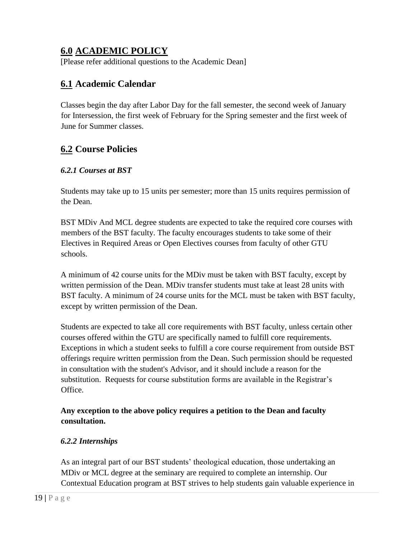# **6.0 ACADEMIC POLICY**

[Please refer additional questions to the Academic Dean]

### **6.1 Academic Calendar**

Classes begin the day after Labor Day for the fall semester, the second week of January for Intersession, the first week of February for the Spring semester and the first week of June for Summer classes.

### **6.2 Course Policies**

#### *6.2.1 Courses at BST*

Students may take up to 15 units per semester; more than 15 units requires permission of the Dean.

BST MDiv And MCL degree students are expected to take the required core courses with members of the BST faculty. The faculty encourages students to take some of their Electives in Required Areas or Open Electives courses from faculty of other GTU schools.

A minimum of 42 course units for the MDiv must be taken with BST faculty, except by written permission of the Dean. MDiv transfer students must take at least 28 units with BST faculty. A minimum of 24 course units for the MCL must be taken with BST faculty, except by written permission of the Dean.

Students are expected to take all core requirements with BST faculty, unless certain other courses offered within the GTU are specifically named to fulfill core requirements. Exceptions in which a student seeks to fulfill a core course requirement from outside BST offerings require written permission from the Dean. Such permission should be requested in consultation with the student's Advisor, and it should include a reason for the substitution. Requests for course substitution forms are available in the Registrar's Office.

#### **Any exception to the above policy requires a petition to the Dean and faculty consultation.**

#### *6.2.2 Internships*

As an integral part of our BST students' theological education, those undertaking an MDiv or MCL degree at the seminary are required to complete an internship. Our Contextual Education program at BST strives to help students gain valuable experience in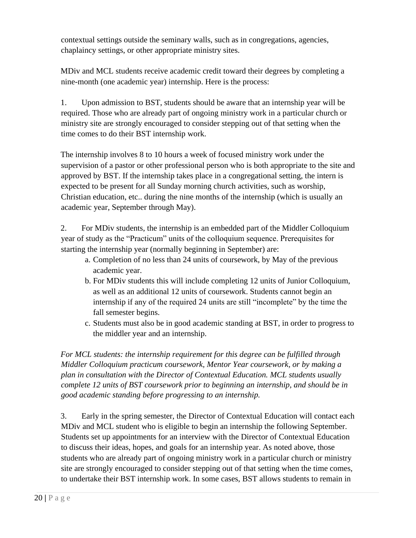contextual settings outside the seminary walls, such as in congregations, agencies, chaplaincy settings, or other appropriate ministry sites.

MDiv and MCL students receive academic credit toward their degrees by completing a nine-month (one academic year) internship. Here is the process:

1. Upon admission to BST, students should be aware that an internship year will be required. Those who are already part of ongoing ministry work in a particular church or ministry site are strongly encouraged to consider stepping out of that setting when the time comes to do their BST internship work.

The internship involves 8 to 10 hours a week of focused ministry work under the supervision of a pastor or other professional person who is both appropriate to the site and approved by BST. If the internship takes place in a congregational setting, the intern is expected to be present for all Sunday morning church activities, such as worship, Christian education, etc.. during the nine months of the internship (which is usually an academic year, September through May).

2. For MDiv students, the internship is an embedded part of the Middler Colloquium year of study as the "Practicum" units of the colloquium sequence. Prerequisites for starting the internship year (normally beginning in September) are:

- a. Completion of no less than 24 units of coursework, by May of the previous academic year.
- b. For MDiv students this will include completing 12 units of Junior Colloquium, as well as an additional 12 units of coursework. Students cannot begin an internship if any of the required 24 units are still "incomplete" by the time the fall semester begins.
- c. Students must also be in good academic standing at BST, in order to progress to the middler year and an internship.

*For MCL students: the internship requirement for this degree can be fulfilled through Middler Colloquium practicum coursework, Mentor Year coursework, or by making a plan in consultation with the Director of Contextual Education. MCL students usually complete 12 units of BST coursework prior to beginning an internship, and should be in good academic standing before progressing to an internship.* 

3. Early in the spring semester, the Director of Contextual Education will contact each MDiv and MCL student who is eligible to begin an internship the following September. Students set up appointments for an interview with the Director of Contextual Education to discuss their ideas, hopes, and goals for an internship year. As noted above, those students who are already part of ongoing ministry work in a particular church or ministry site are strongly encouraged to consider stepping out of that setting when the time comes, to undertake their BST internship work. In some cases, BST allows students to remain in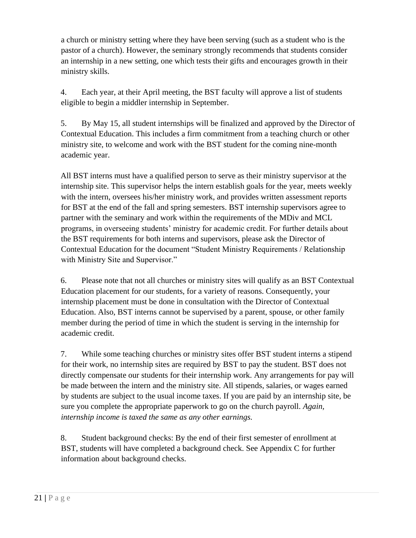a church or ministry setting where they have been serving (such as a student who is the pastor of a church). However, the seminary strongly recommends that students consider an internship in a new setting, one which tests their gifts and encourages growth in their ministry skills.

4. Each year, at their April meeting, the BST faculty will approve a list of students eligible to begin a middler internship in September.

5. By May 15, all student internships will be finalized and approved by the Director of Contextual Education. This includes a firm commitment from a teaching church or other ministry site, to welcome and work with the BST student for the coming nine-month academic year.

All BST interns must have a qualified person to serve as their ministry supervisor at the internship site. This supervisor helps the intern establish goals for the year, meets weekly with the intern, oversees his/her ministry work, and provides written assessment reports for BST at the end of the fall and spring semesters. BST internship supervisors agree to partner with the seminary and work within the requirements of the MDiv and MCL programs, in overseeing students' ministry for academic credit. For further details about the BST requirements for both interns and supervisors, please ask the Director of Contextual Education for the document "Student Ministry Requirements / Relationship with Ministry Site and Supervisor."

6. Please note that not all churches or ministry sites will qualify as an BST Contextual Education placement for our students, for a variety of reasons. Consequently, your internship placement must be done in consultation with the Director of Contextual Education. Also, BST interns cannot be supervised by a parent, spouse, or other family member during the period of time in which the student is serving in the internship for academic credit.

7. While some teaching churches or ministry sites offer BST student interns a stipend for their work, no internship sites are required by BST to pay the student. BST does not directly compensate our students for their internship work. Any arrangements for pay will be made between the intern and the ministry site. All stipends, salaries, or wages earned by students are subject to the usual income taxes. If you are paid by an internship site, be sure you complete the appropriate paperwork to go on the church payroll. *Again, internship income is taxed the same as any other earnings.* 

8. Student background checks: By the end of their first semester of enrollment at BST, students will have completed a background check. See Appendix C for further information about background checks.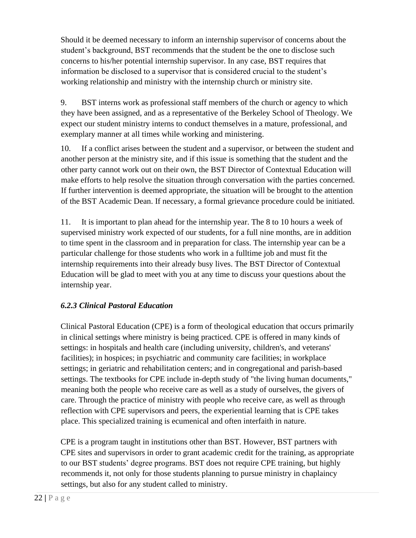Should it be deemed necessary to inform an internship supervisor of concerns about the student's background, BST recommends that the student be the one to disclose such concerns to his/her potential internship supervisor. In any case, BST requires that information be disclosed to a supervisor that is considered crucial to the student's working relationship and ministry with the internship church or ministry site.

9. BST interns work as professional staff members of the church or agency to which they have been assigned, and as a representative of the Berkeley School of Theology. We expect our student ministry interns to conduct themselves in a mature, professional, and exemplary manner at all times while working and ministering.

10. If a conflict arises between the student and a supervisor, or between the student and another person at the ministry site, and if this issue is something that the student and the other party cannot work out on their own, the BST Director of Contextual Education will make efforts to help resolve the situation through conversation with the parties concerned. If further intervention is deemed appropriate, the situation will be brought to the attention of the BST Academic Dean. If necessary, a formal grievance procedure could be initiated.

11. It is important to plan ahead for the internship year. The 8 to 10 hours a week of supervised ministry work expected of our students, for a full nine months, are in addition to time spent in the classroom and in preparation for class. The internship year can be a particular challenge for those students who work in a fulltime job and must fit the internship requirements into their already busy lives. The BST Director of Contextual Education will be glad to meet with you at any time to discuss your questions about the internship year.

### *6.2.3 Clinical Pastoral Education*

Clinical Pastoral Education (CPE) is a form of theological education that occurs primarily in clinical settings where ministry is being practiced. CPE is offered in many kinds of settings: in hospitals and health care (including university, children's, and veterans' facilities); in hospices; in psychiatric and community care facilities; in workplace settings; in geriatric and rehabilitation centers; and in congregational and parish-based settings. The textbooks for CPE include in-depth study of "the living human documents," meaning both the people who receive care as well as a study of ourselves, the givers of care. Through the practice of ministry with people who receive care, as well as through reflection with CPE supervisors and peers, the experiential learning that is CPE takes place. This specialized training is ecumenical and often interfaith in nature.

CPE is a program taught in institutions other than BST. However, BST partners with CPE sites and supervisors in order to grant academic credit for the training, as appropriate to our BST students' degree programs. BST does not require CPE training, but highly recommends it, not only for those students planning to pursue ministry in chaplaincy settings, but also for any student called to ministry.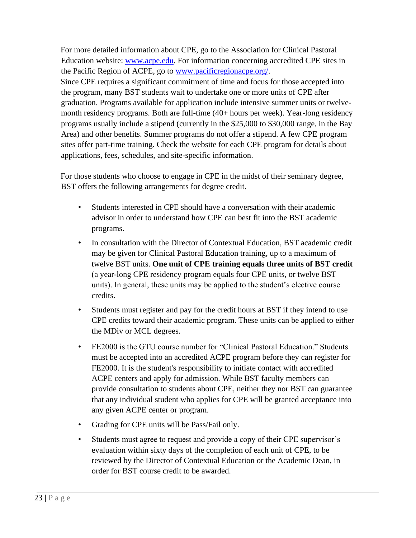For more detailed information about CPE, go to the Association for Clinical Pastoral Education website: [www.acpe.edu.](http://www.acpe.edu/) For information concerning accredited CPE sites in the Pacific Region of ACPE, go to [www.pacificregionacpe.org/.](http://www.pacificregionacpe.org/) Since CPE requires a significant commitment of time and focus for those accepted into the program, many BST students wait to undertake one or more units of CPE after graduation. Programs available for application include intensive summer units or twelvemonth residency programs. Both are full-time (40+ hours per week). Year-long residency programs usually include a stipend (currently in the \$25,000 to \$30,000 range, in the Bay Area) and other benefits. Summer programs do not offer a stipend. A few CPE program sites offer part-time training. Check the website for each CPE program for details about applications, fees, schedules, and site-specific information.

For those students who choose to engage in CPE in the midst of their seminary degree, BST offers the following arrangements for degree credit.

- Students interested in CPE should have a conversation with their academic advisor in order to understand how CPE can best fit into the BST academic programs.
- In consultation with the Director of Contextual Education, BST academic credit may be given for Clinical Pastoral Education training, up to a maximum of twelve BST units. **One unit of CPE training equals three units of BST credit**  (a year-long CPE residency program equals four CPE units, or twelve BST units). In general, these units may be applied to the student's elective course credits.
- Students must register and pay for the credit hours at BST if they intend to use CPE credits toward their academic program. These units can be applied to either the MDiv or MCL degrees.
- FE2000 is the GTU course number for "Clinical Pastoral Education." Students must be accepted into an accredited ACPE program before they can register for FE2000. It is the student's responsibility to initiate contact with accredited ACPE centers and apply for admission. While BST faculty members can provide consultation to students about CPE, neither they nor BST can guarantee that any individual student who applies for CPE will be granted acceptance into any given ACPE center or program.
- Grading for CPE units will be Pass/Fail only.
- Students must agree to request and provide a copy of their CPE supervisor's evaluation within sixty days of the completion of each unit of CPE, to be reviewed by the Director of Contextual Education or the Academic Dean, in order for BST course credit to be awarded.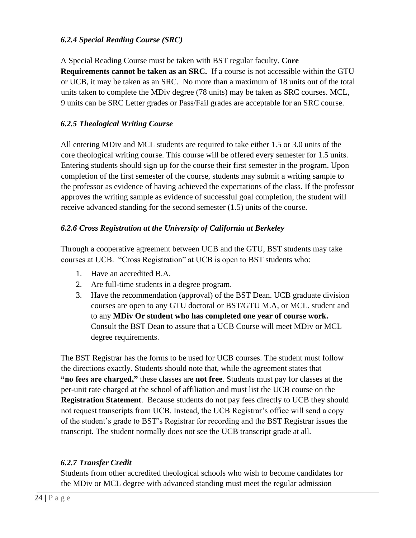#### *6.2.4 Special Reading Course (SRC)*

A Special Reading Course must be taken with BST regular faculty. **Core Requirements cannot be taken as an SRC.** If a course is not accessible within the GTU or UCB, it may be taken as an SRC. No more than a maximum of 18 units out of the total units taken to complete the MDiv degree (78 units) may be taken as SRC courses. MCL, 9 units can be SRC Letter grades or Pass/Fail grades are acceptable for an SRC course.

#### *6.2.5 Theological Writing Course*

All entering MDiv and MCL students are required to take either 1.5 or 3.0 units of the core theological writing course. This course will be offered every semester for 1.5 units. Entering students should sign up for the course their first semester in the program. Upon completion of the first semester of the course, students may submit a writing sample to the professor as evidence of having achieved the expectations of the class. If the professor approves the writing sample as evidence of successful goal completion, the student will receive advanced standing for the second semester (1.5) units of the course.

#### *6.2.6 Cross Registration at the University of California at Berkeley*

Through a cooperative agreement between UCB and the GTU, BST students may take courses at UCB. "Cross Registration" at UCB is open to BST students who:

- 1. Have an accredited B.A.
- 2. Are full-time students in a degree program.
- 3. Have the recommendation (approval) of the BST Dean. UCB graduate division courses are open to any GTU doctoral or BST/GTU M.A, or MCL. student and to any **MDiv Or student who has completed one year of course work.**  Consult the BST Dean to assure that a UCB Course will meet MDiv or MCL degree requirements.

The BST Registrar has the forms to be used for UCB courses. The student must follow the directions exactly. Students should note that, while the agreement states that **"no fees are charged,"** these classes are **not free**. Students must pay for classes at the per-unit rate charged at the school of affiliation and must list the UCB course on the **Registration Statement**. Because students do not pay fees directly to UCB they should not request transcripts from UCB. Instead, the UCB Registrar's office will send a copy of the student's grade to BST's Registrar for recording and the BST Registrar issues the transcript. The student normally does not see the UCB transcript grade at all.

### *6.2.7 Transfer Credit*

Students from other accredited theological schools who wish to become candidates for the MDiv or MCL degree with advanced standing must meet the regular admission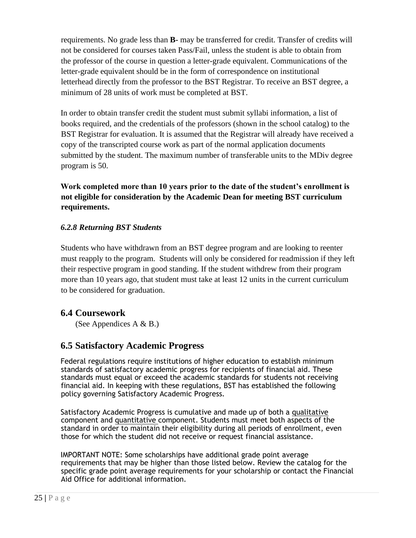requirements. No grade less than **B-** may be transferred for credit. Transfer of credits will not be considered for courses taken Pass/Fail, unless the student is able to obtain from the professor of the course in question a letter-grade equivalent. Communications of the letter-grade equivalent should be in the form of correspondence on institutional letterhead directly from the professor to the BST Registrar. To receive an BST degree, a minimum of 28 units of work must be completed at BST.

In order to obtain transfer credit the student must submit syllabi information, a list of books required, and the credentials of the professors (shown in the school catalog) to the BST Registrar for evaluation. It is assumed that the Registrar will already have received a copy of the transcripted course work as part of the normal application documents submitted by the student. The maximum number of transferable units to the MDiv degree program is 50.

**Work completed more than 10 years prior to the date of the student's enrollment is not eligible for consideration by the Academic Dean for meeting BST curriculum requirements.** 

#### *6.2.8 Returning BST Students*

Students who have withdrawn from an BST degree program and are looking to reenter must reapply to the program. Students will only be considered for readmission if they left their respective program in good standing. If the student withdrew from their program more than 10 years ago, that student must take at least 12 units in the current curriculum to be considered for graduation.

### **6.4 Coursework**

(See Appendices A  $\&$  B.)

### **6.5 Satisfactory Academic Progress**

Federal regulations require institutions of higher education to establish minimum standards of satisfactory academic progress for recipients of financial aid. These standards must equal or exceed the academic standards for students not receiving financial aid. In keeping with these regulations, BST has established the following policy governing Satisfactory Academic Progress.

Satisfactory Academic Progress is cumulative and made up of both a qualitative component and quantitative component. Students must meet both aspects of the standard in order to maintain their eligibility during all periods of enrollment, even those for which the student did not receive or request financial assistance.

IMPORTANT NOTE: Some scholarships have additional grade point average requirements that may be higher than those listed below. Review the catalog for the specific grade point average requirements for your scholarship or contact the Financial Aid Office for additional information.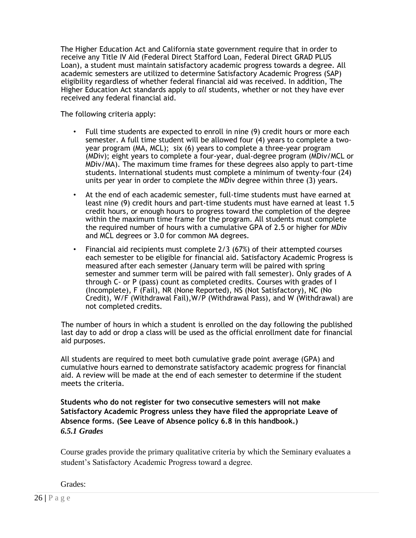The Higher Education Act and California state government require that in order to receive any Title IV Aid (Federal Direct Stafford Loan, Federal Direct GRAD PLUS Loan), a student must maintain satisfactory academic progress towards a degree. All academic semesters are utilized to determine Satisfactory Academic Progress (SAP) eligibility regardless of whether federal financial aid was received. In addition, The Higher Education Act standards apply to *all* students, whether or not they have ever received any federal financial aid.

The following criteria apply:

- Full time students are expected to enroll in nine (9) credit hours or more each semester. A full time student will be allowed four (4) years to complete a twoyear program (MA, MCL); six (6) years to complete a three-year program (MDiv); eight years to complete a four-year, dual-degree program (MDiv/MCL or MDiv/MA). The maximum time frames for these degrees also apply to part-time students. International students must complete a minimum of twenty-four (24) units per year in order to complete the MDiv degree within three (3) years.
- At the end of each academic semester, full-time students must have earned at least nine (9) credit hours and part-time students must have earned at least 1.5 credit hours, or enough hours to progress toward the completion of the degree within the maximum time frame for the program. All students must complete the required number of hours with a cumulative GPA of 2.5 or higher for MDiv and MCL degrees or 3.0 for common MA degrees.
- Financial aid recipients must complete 2/3 (67%) of their attempted courses each semester to be eligible for financial aid. Satisfactory Academic Progress is measured after each semester (January term will be paired with spring semester and summer term will be paired with fall semester). Only grades of A through C- or P (pass) count as completed credits. Courses with grades of I (Incomplete), F (Fail), NR (None Reported), NS (Not Satisfactory), NC (No Credit), W/F (Withdrawal Fail),W/P (Withdrawal Pass), and W (Withdrawal) are not completed credits.

The number of hours in which a student is enrolled on the day following the published last day to add or drop a class will be used as the official enrollment date for financial aid purposes.

All students are required to meet both cumulative grade point average (GPA) and cumulative hours earned to demonstrate satisfactory academic progress for financial aid. A review will be made at the end of each semester to determine if the student meets the criteria.

**Students who do not register for two consecutive semesters will not make Satisfactory Academic Progress unless they have filed the appropriate Leave of Absence forms. (See Leave of Absence policy 6.8 in this handbook.)**  *6.5.1 Grades* 

Course grades provide the primary qualitative criteria by which the Seminary evaluates a student's Satisfactory Academic Progress toward a degree.

Grades: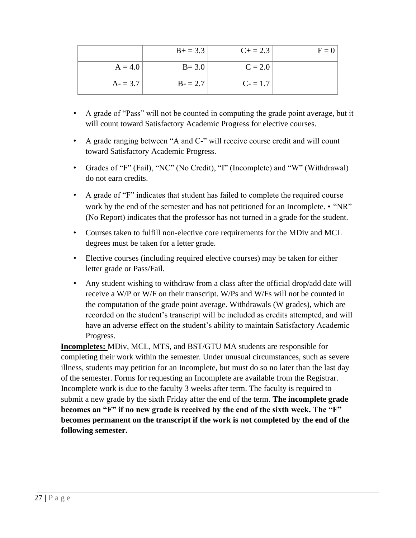|           | $B+ = 3.3$ | $C+=2.3$  | $F = 0$ |
|-----------|------------|-----------|---------|
| $A = 4.0$ | $B = 3.0$  | $C = 2.0$ |         |
| $A = 3.7$ | $B - 2.7$  | $C = 1.7$ |         |

- A grade of "Pass" will not be counted in computing the grade point average, but it will count toward Satisfactory Academic Progress for elective courses.
- A grade ranging between "A and C-" will receive course credit and will count toward Satisfactory Academic Progress.
- Grades of "F" (Fail), "NC" (No Credit), "I" (Incomplete) and "W" (Withdrawal) do not earn credits.
- A grade of "F" indicates that student has failed to complete the required course work by the end of the semester and has not petitioned for an Incomplete. • "NR" (No Report) indicates that the professor has not turned in a grade for the student.
- Courses taken to fulfill non-elective core requirements for the MDiv and MCL degrees must be taken for a letter grade.
- Elective courses (including required elective courses) may be taken for either letter grade or Pass/Fail.
- Any student wishing to withdraw from a class after the official drop/add date will receive a W/P or W/F on their transcript. W/Ps and W/Fs will not be counted in the computation of the grade point average. Withdrawals (W grades), which are recorded on the student's transcript will be included as credits attempted, and will have an adverse effect on the student's ability to maintain Satisfactory Academic Progress.

**Incompletes:** MDiv, MCL, MTS, and BST/GTU MA students are responsible for completing their work within the semester. Under unusual circumstances, such as severe illness, students may petition for an Incomplete, but must do so no later than the last day of the semester. Forms for requesting an Incomplete are available from the Registrar. Incomplete work is due to the faculty 3 weeks after term. The faculty is required to submit a new grade by the sixth Friday after the end of the term. **The incomplete grade becomes an "F" if no new grade is received by the end of the sixth week. The "F" becomes permanent on the transcript if the work is not completed by the end of the following semester.**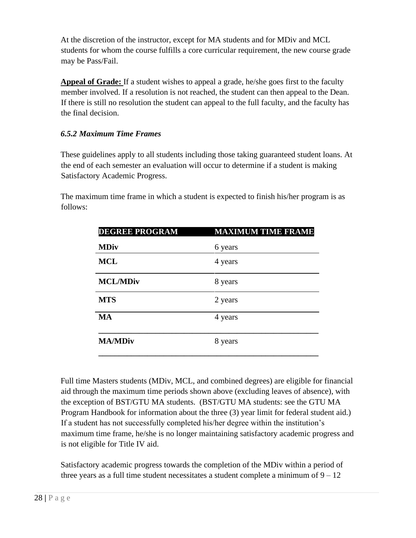At the discretion of the instructor, except for MA students and for MDiv and MCL students for whom the course fulfills a core curricular requirement, the new course grade may be Pass/Fail.

**Appeal of Grade:** If a student wishes to appeal a grade, he/she goes first to the faculty member involved. If a resolution is not reached, the student can then appeal to the Dean. If there is still no resolution the student can appeal to the full faculty, and the faculty has the final decision.

### *6.5.2 Maximum Time Frames*

These guidelines apply to all students including those taking guaranteed student loans. At the end of each semester an evaluation will occur to determine if a student is making Satisfactory Academic Progress.

The maximum time frame in which a student is expected to finish his/her program is as follows:

| <b>DEGREE PROGRAM</b> | <b>MAXIMUM TIME FRAME</b> |
|-----------------------|---------------------------|
| <b>MDiv</b>           | 6 years                   |
| <b>MCL</b>            | 4 years                   |
| <b>MCL/MDiv</b>       | 8 years                   |
| <b>MTS</b>            | 2 years                   |
| <b>MA</b>             | 4 years                   |
| <b>MA/MDiv</b>        | 8 years                   |

Full time Masters students (MDiv, MCL, and combined degrees) are eligible for financial aid through the maximum time periods shown above (excluding leaves of absence), with the exception of BST/GTU MA students. (BST/GTU MA students: see the GTU MA Program Handbook for information about the three (3) year limit for federal student aid.) If a student has not successfully completed his/her degree within the institution's maximum time frame, he/she is no longer maintaining satisfactory academic progress and is not eligible for Title IV aid.

Satisfactory academic progress towards the completion of the MDiv within a period of three years as a full time student necessitates a student complete a minimum of  $9 - 12$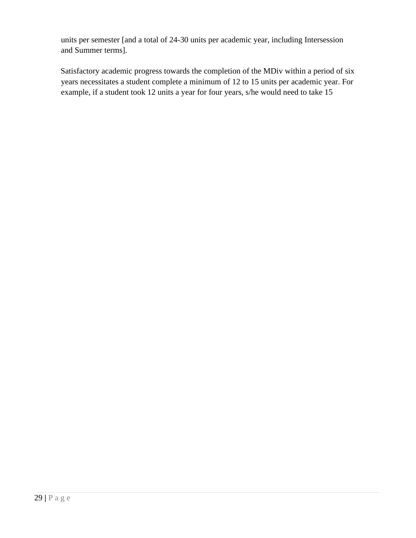units per semester [and a total of 24-30 units per academic year, including Intersession and Summer terms].

Satisfactory academic progress towards the completion of the MDiv within a period of six years necessitates a student complete a minimum of 12 to 15 units per academic year. For example, if a student took 12 units a year for four years, s/he would need to take 15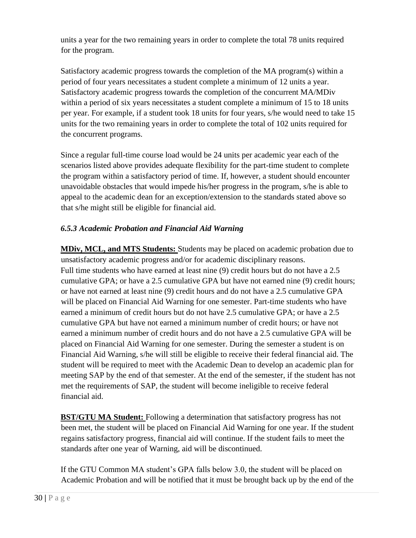units a year for the two remaining years in order to complete the total 78 units required for the program.

Satisfactory academic progress towards the completion of the MA program(s) within a period of four years necessitates a student complete a minimum of 12 units a year. Satisfactory academic progress towards the completion of the concurrent MA/MDiv within a period of six years necessitates a student complete a minimum of 15 to 18 units per year. For example, if a student took 18 units for four years, s/he would need to take 15 units for the two remaining years in order to complete the total of 102 units required for the concurrent programs.

Since a regular full-time course load would be 24 units per academic year each of the scenarios listed above provides adequate flexibility for the part-time student to complete the program within a satisfactory period of time. If, however, a student should encounter unavoidable obstacles that would impede his/her progress in the program, s/he is able to appeal to the academic dean for an exception/extension to the standards stated above so that s/he might still be eligible for financial aid.

### *6.5.3 Academic Probation and Financial Aid Warning*

**MDiv, MCL, and MTS Students:** Students may be placed on academic probation due to unsatisfactory academic progress and/or for academic disciplinary reasons. Full time students who have earned at least nine (9) credit hours but do not have a 2.5 cumulative GPA; or have a 2.5 cumulative GPA but have not earned nine (9) credit hours; or have not earned at least nine (9) credit hours and do not have a 2.5 cumulative GPA will be placed on Financial Aid Warning for one semester. Part-time students who have earned a minimum of credit hours but do not have 2.5 cumulative GPA; or have a 2.5 cumulative GPA but have not earned a minimum number of credit hours; or have not earned a minimum number of credit hours and do not have a 2.5 cumulative GPA will be placed on Financial Aid Warning for one semester. During the semester a student is on Financial Aid Warning, s/he will still be eligible to receive their federal financial aid. The student will be required to meet with the Academic Dean to develop an academic plan for meeting SAP by the end of that semester. At the end of the semester, if the student has not met the requirements of SAP, the student will become ineligible to receive federal financial aid.

**BST/GTU MA Student:** Following a determination that satisfactory progress has not been met, the student will be placed on Financial Aid Warning for one year. If the student regains satisfactory progress, financial aid will continue. If the student fails to meet the standards after one year of Warning, aid will be discontinued.

If the GTU Common MA student's GPA falls below 3.0, the student will be placed on Academic Probation and will be notified that it must be brought back up by the end of the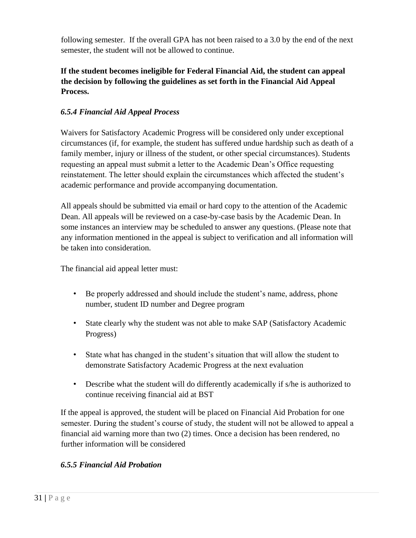following semester. If the overall GPA has not been raised to a 3.0 by the end of the next semester, the student will not be allowed to continue.

### **If the student becomes ineligible for Federal Financial Aid, the student can appeal the decision by following the guidelines as set forth in the Financial Aid Appeal Process.**

### *6.5.4 Financial Aid Appeal Process*

Waivers for Satisfactory Academic Progress will be considered only under exceptional circumstances (if, for example, the student has suffered undue hardship such as death of a family member, injury or illness of the student, or other special circumstances). Students requesting an appeal must submit a letter to the Academic Dean's Office requesting reinstatement. The letter should explain the circumstances which affected the student's academic performance and provide accompanying documentation.

All appeals should be submitted via email or hard copy to the attention of the Academic Dean. All appeals will be reviewed on a case-by-case basis by the Academic Dean. In some instances an interview may be scheduled to answer any questions. (Please note that any information mentioned in the appeal is subject to verification and all information will be taken into consideration.

The financial aid appeal letter must:

- Be properly addressed and should include the student's name, address, phone number, student ID number and Degree program
- State clearly why the student was not able to make SAP (Satisfactory Academic Progress)
- State what has changed in the student's situation that will allow the student to demonstrate Satisfactory Academic Progress at the next evaluation
- Describe what the student will do differently academically if s/he is authorized to continue receiving financial aid at BST

If the appeal is approved, the student will be placed on Financial Aid Probation for one semester. During the student's course of study, the student will not be allowed to appeal a financial aid warning more than two (2) times. Once a decision has been rendered, no further information will be considered

#### *6.5.5 Financial Aid Probation*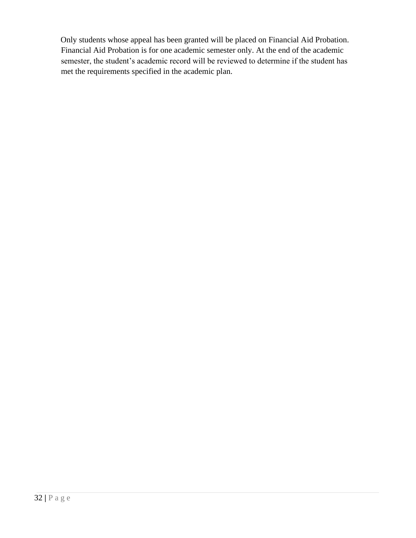Only students whose appeal has been granted will be placed on Financial Aid Probation. Financial Aid Probation is for one academic semester only. At the end of the academic semester, the student's academic record will be reviewed to determine if the student has met the requirements specified in the academic plan.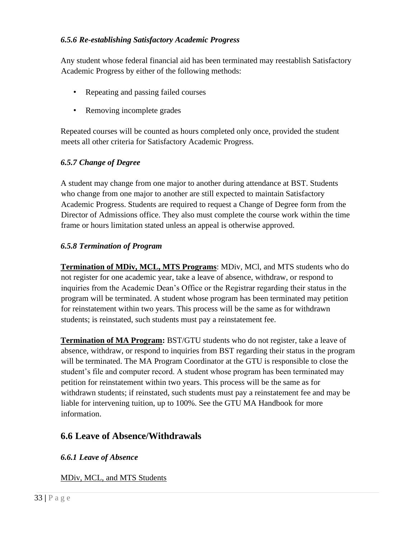#### *6.5.6 Re-establishing Satisfactory Academic Progress*

Any student whose federal financial aid has been terminated may reestablish Satisfactory Academic Progress by either of the following methods:

- Repeating and passing failed courses
- Removing incomplete grades

Repeated courses will be counted as hours completed only once, provided the student meets all other criteria for Satisfactory Academic Progress.

### *6.5.7 Change of Degree*

A student may change from one major to another during attendance at BST. Students who change from one major to another are still expected to maintain Satisfactory Academic Progress. Students are required to request a Change of Degree form from the Director of Admissions office. They also must complete the course work within the time frame or hours limitation stated unless an appeal is otherwise approved.

#### *6.5.8 Termination of Program*

**Termination of MDiv, MCL, MTS Programs**: MDiv, MCl, and MTS students who do not register for one academic year, take a leave of absence, withdraw, or respond to inquiries from the Academic Dean's Office or the Registrar regarding their status in the program will be terminated. A student whose program has been terminated may petition for reinstatement within two years. This process will be the same as for withdrawn students; is reinstated, such students must pay a reinstatement fee.

**Termination of MA Program:** BST/GTU students who do not register, take a leave of absence, withdraw, or respond to inquiries from BST regarding their status in the program will be terminated. The MA Program Coordinator at the GTU is responsible to close the student's file and computer record. A student whose program has been terminated may petition for reinstatement within two years. This process will be the same as for withdrawn students; if reinstated, such students must pay a reinstatement fee and may be liable for intervening tuition, up to 100%. See the GTU MA Handbook for more information.

### **6.6 Leave of Absence/Withdrawals**

### *6.6.1 Leave of Absence*

MDiv, MCL, and MTS Students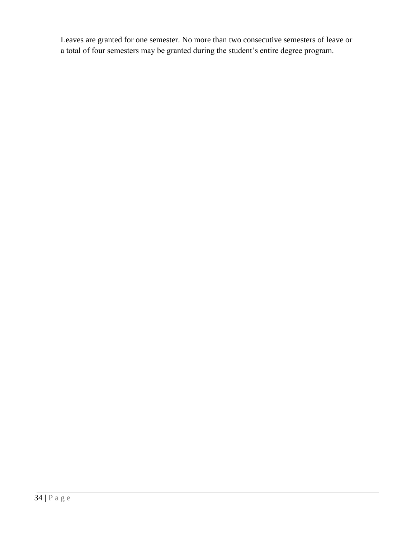Leaves are granted for one semester. No more than two consecutive semesters of leave or a total of four semesters may be granted during the student's entire degree program.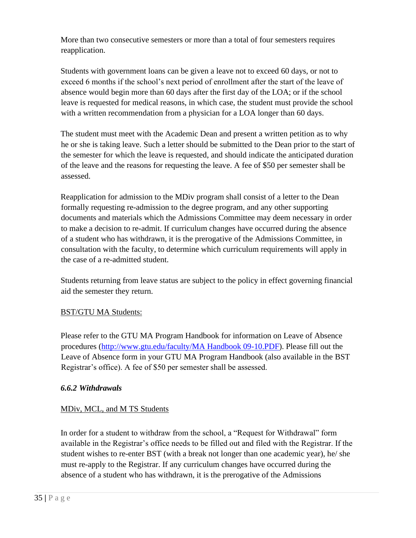More than two consecutive semesters or more than a total of four semesters requires reapplication.

Students with government loans can be given a leave not to exceed 60 days, or not to exceed 6 months if the school's next period of enrollment after the start of the leave of absence would begin more than 60 days after the first day of the LOA; or if the school leave is requested for medical reasons, in which case, the student must provide the school with a written recommendation from a physician for a LOA longer than 60 days.

The student must meet with the Academic Dean and present a written petition as to why he or she is taking leave. Such a letter should be submitted to the Dean prior to the start of the semester for which the leave is requested, and should indicate the anticipated duration of the leave and the reasons for requesting the leave. A fee of \$50 per semester shall be assessed.

Reapplication for admission to the MDiv program shall consist of a letter to the Dean formally requesting re-admission to the degree program, and any other supporting documents and materials which the Admissions Committee may deem necessary in order to make a decision to re-admit. If curriculum changes have occurred during the absence of a student who has withdrawn, it is the prerogative of the Admissions Committee, in consultation with the faculty, to determine which curriculum requirements will apply in the case of a re-admitted student.

Students returning from leave status are subject to the policy in effect governing financial aid the semester they return.

### BST/GTU MA Students:

Please refer to the GTU MA Program Handbook for information on Leave of Absence procedures [\(http://www.gtu.edu/faculty/MA Handbook 09-10.PDF\). P](http://www.gtu.edu/faculty/MAHandbook09-10.PDF))lease fill out the Leave of Absence form in your GTU MA Program Handbook (also available in the BST Registrar's office). A fee of \$50 per semester shall be assessed.

#### *6.6.2 Withdrawals*

### MDiv, MCL, and M TS Students

In order for a student to withdraw from the school, a "Request for Withdrawal" form available in the Registrar's office needs to be filled out and filed with the Registrar. If the student wishes to re-enter BST (with a break not longer than one academic year), he/ she must re-apply to the Registrar. If any curriculum changes have occurred during the absence of a student who has withdrawn, it is the prerogative of the Admissions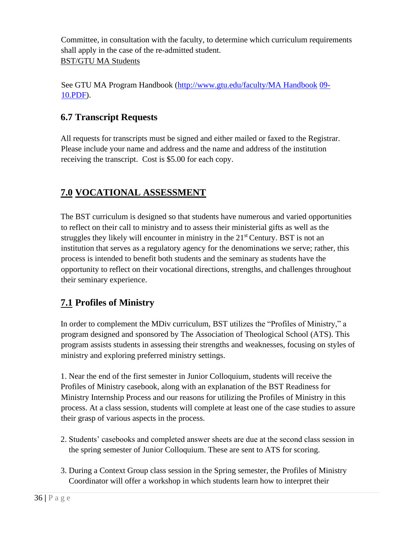Committee, in consultation with the faculty, to determine which curriculum requirements shall apply in the case of the re-admitted student. BST/GTU MA Students

See GTU MA Program Handbook [\(http://www.gtu.edu/faculty/MA Handbook](http://www.gtu.edu/faculty/MAHandbook) [0](http://www.gtu.edu/faculty/MAHandbook)9- 10.PDF).

# **6.7 Transcript Requests**

All requests for transcripts must be signed and either mailed or faxed to the Registrar. Please include your name and address and the name and address of the institution receiving the transcript. Cost is \$5.00 for each copy.

# **7.0 VOCATIONAL ASSESSMENT**

The BST curriculum is designed so that students have numerous and varied opportunities to reflect on their call to ministry and to assess their ministerial gifts as well as the struggles they likely will encounter in ministry in the  $21<sup>st</sup>$  Century. BST is not an institution that serves as a regulatory agency for the denominations we serve; rather, this process is intended to benefit both students and the seminary as students have the opportunity to reflect on their vocational directions, strengths, and challenges throughout their seminary experience.

# **7.1 Profiles of Ministry**

In order to complement the MDiv curriculum, BST utilizes the "Profiles of Ministry," a program designed and sponsored by The Association of Theological School (ATS). This program assists students in assessing their strengths and weaknesses, focusing on styles of ministry and exploring preferred ministry settings.

1. Near the end of the first semester in Junior Colloquium, students will receive the Profiles of Ministry casebook, along with an explanation of the BST Readiness for Ministry Internship Process and our reasons for utilizing the Profiles of Ministry in this process. At a class session, students will complete at least one of the case studies to assure their grasp of various aspects in the process.

- 2. Students' casebooks and completed answer sheets are due at the second class session in the spring semester of Junior Colloquium. These are sent to ATS for scoring.
- 3. During a Context Group class session in the Spring semester, the Profiles of Ministry Coordinator will offer a workshop in which students learn how to interpret their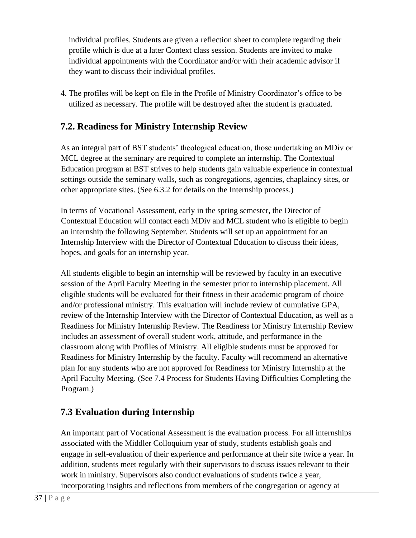individual profiles. Students are given a reflection sheet to complete regarding their profile which is due at a later Context class session. Students are invited to make individual appointments with the Coordinator and/or with their academic advisor if they want to discuss their individual profiles.

4. The profiles will be kept on file in the Profile of Ministry Coordinator's office to be utilized as necessary. The profile will be destroyed after the student is graduated.

### **7.2. Readiness for Ministry Internship Review**

As an integral part of BST students' theological education, those undertaking an MDiv or MCL degree at the seminary are required to complete an internship. The Contextual Education program at BST strives to help students gain valuable experience in contextual settings outside the seminary walls, such as congregations, agencies, chaplaincy sites, or other appropriate sites. (See 6.3.2 for details on the Internship process.)

In terms of Vocational Assessment, early in the spring semester, the Director of Contextual Education will contact each MDiv and MCL student who is eligible to begin an internship the following September. Students will set up an appointment for an Internship Interview with the Director of Contextual Education to discuss their ideas, hopes, and goals for an internship year.

All students eligible to begin an internship will be reviewed by faculty in an executive session of the April Faculty Meeting in the semester prior to internship placement. All eligible students will be evaluated for their fitness in their academic program of choice and/or professional ministry. This evaluation will include review of cumulative GPA, review of the Internship Interview with the Director of Contextual Education, as well as a Readiness for Ministry Internship Review. The Readiness for Ministry Internship Review includes an assessment of overall student work, attitude, and performance in the classroom along with Profiles of Ministry. All eligible students must be approved for Readiness for Ministry Internship by the faculty. Faculty will recommend an alternative plan for any students who are not approved for Readiness for Ministry Internship at the April Faculty Meeting. (See 7.4 Process for Students Having Difficulties Completing the Program.)

# **7.3 Evaluation during Internship**

An important part of Vocational Assessment is the evaluation process. For all internships associated with the Middler Colloquium year of study, students establish goals and engage in self-evaluation of their experience and performance at their site twice a year. In addition, students meet regularly with their supervisors to discuss issues relevant to their work in ministry. Supervisors also conduct evaluations of students twice a year, incorporating insights and reflections from members of the congregation or agency at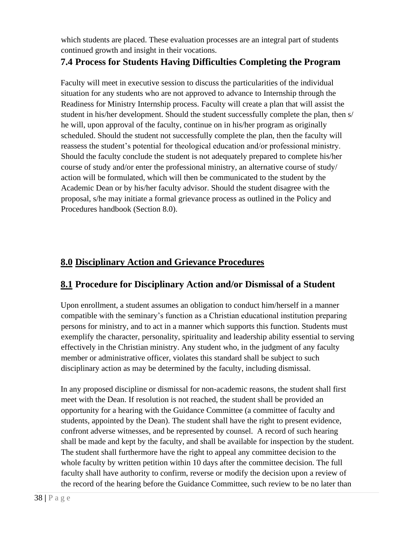which students are placed. These evaluation processes are an integral part of students continued growth and insight in their vocations.

### **7.4 Process for Students Having Difficulties Completing the Program**

Faculty will meet in executive session to discuss the particularities of the individual situation for any students who are not approved to advance to Internship through the Readiness for Ministry Internship process. Faculty will create a plan that will assist the student in his/her development. Should the student successfully complete the plan, then s/ he will, upon approval of the faculty, continue on in his/her program as originally scheduled. Should the student not successfully complete the plan, then the faculty will reassess the student's potential for theological education and/or professional ministry. Should the faculty conclude the student is not adequately prepared to complete his/her course of study and/or enter the professional ministry, an alternative course of study/ action will be formulated, which will then be communicated to the student by the Academic Dean or by his/her faculty advisor. Should the student disagree with the proposal, s/he may initiate a formal grievance process as outlined in the Policy and Procedures handbook (Section 8.0).

# **8.0 Disciplinary Action and Grievance Procedures**

# **8.1 Procedure for Disciplinary Action and/or Dismissal of a Student**

Upon enrollment, a student assumes an obligation to conduct him/herself in a manner compatible with the seminary's function as a Christian educational institution preparing persons for ministry, and to act in a manner which supports this function. Students must exemplify the character, personality, spirituality and leadership ability essential to serving effectively in the Christian ministry. Any student who, in the judgment of any faculty member or administrative officer, violates this standard shall be subject to such disciplinary action as may be determined by the faculty, including dismissal.

In any proposed discipline or dismissal for non-academic reasons, the student shall first meet with the Dean. If resolution is not reached, the student shall be provided an opportunity for a hearing with the Guidance Committee (a committee of faculty and students, appointed by the Dean). The student shall have the right to present evidence, confront adverse witnesses, and be represented by counsel. A record of such hearing shall be made and kept by the faculty, and shall be available for inspection by the student. The student shall furthermore have the right to appeal any committee decision to the whole faculty by written petition within 10 days after the committee decision. The full faculty shall have authority to confirm, reverse or modify the decision upon a review of the record of the hearing before the Guidance Committee, such review to be no later than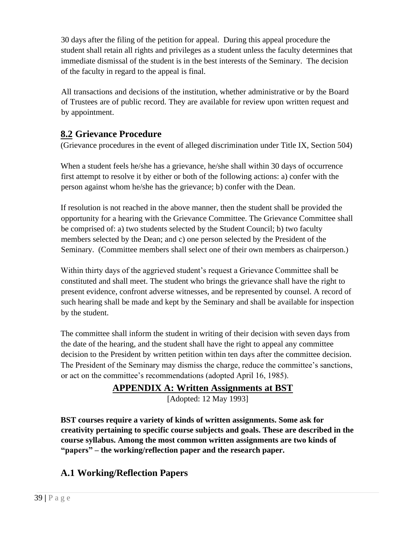30 days after the filing of the petition for appeal. During this appeal procedure the student shall retain all rights and privileges as a student unless the faculty determines that immediate dismissal of the student is in the best interests of the Seminary. The decision of the faculty in regard to the appeal is final.

All transactions and decisions of the institution, whether administrative or by the Board of Trustees are of public record. They are available for review upon written request and by appointment.

### **8.2 Grievance Procedure**

(Grievance procedures in the event of alleged discrimination under Title IX, Section 504)

When a student feels he/she has a grievance, he/she shall within 30 days of occurrence first attempt to resolve it by either or both of the following actions: a) confer with the person against whom he/she has the grievance; b) confer with the Dean.

If resolution is not reached in the above manner, then the student shall be provided the opportunity for a hearing with the Grievance Committee. The Grievance Committee shall be comprised of: a) two students selected by the Student Council; b) two faculty members selected by the Dean; and c) one person selected by the President of the Seminary. (Committee members shall select one of their own members as chairperson.)

Within thirty days of the aggrieved student's request a Grievance Committee shall be constituted and shall meet. The student who brings the grievance shall have the right to present evidence, confront adverse witnesses, and be represented by counsel. A record of such hearing shall be made and kept by the Seminary and shall be available for inspection by the student.

The committee shall inform the student in writing of their decision with seven days from the date of the hearing, and the student shall have the right to appeal any committee decision to the President by written petition within ten days after the committee decision. The President of the Seminary may dismiss the charge, reduce the committee's sanctions, or act on the committee's recommendations (adopted April 16, 1985).

### **APPENDIX A: Written Assignments at BST**

[Adopted: 12 May 1993]

**BST courses require a variety of kinds of written assignments. Some ask for creativity pertaining to specific course subjects and goals. These are described in the course syllabus. Among the most common written assignments are two kinds of "papers" – the working/reflection paper and the research paper.** 

# **A.1 Working/Reflection Papers**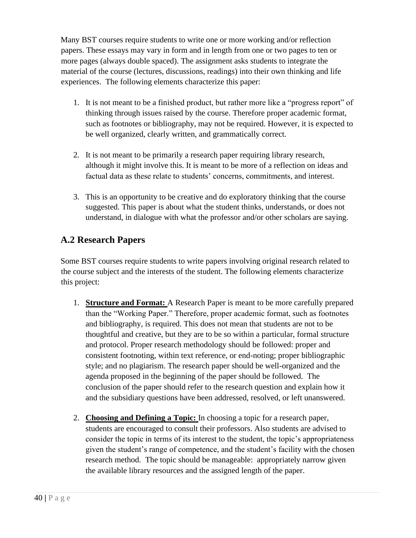Many BST courses require students to write one or more working and/or reflection papers. These essays may vary in form and in length from one or two pages to ten or more pages (always double spaced). The assignment asks students to integrate the material of the course (lectures, discussions, readings) into their own thinking and life experiences. The following elements characterize this paper:

- 1. It is not meant to be a finished product, but rather more like a "progress report" of thinking through issues raised by the course. Therefore proper academic format, such as footnotes or bibliography, may not be required. However, it is expected to be well organized, clearly written, and grammatically correct.
- 2. It is not meant to be primarily a research paper requiring library research, although it might involve this. It is meant to be more of a reflection on ideas and factual data as these relate to students' concerns, commitments, and interest.
- 3. This is an opportunity to be creative and do exploratory thinking that the course suggested. This paper is about what the student thinks, understands, or does not understand, in dialogue with what the professor and/or other scholars are saying.

# **A.2 Research Papers**

Some BST courses require students to write papers involving original research related to the course subject and the interests of the student. The following elements characterize this project:

- 1. **Structure and Format:** A Research Paper is meant to be more carefully prepared than the "Working Paper." Therefore, proper academic format, such as footnotes and bibliography, is required. This does not mean that students are not to be thoughtful and creative, but they are to be so within a particular, formal structure and protocol. Proper research methodology should be followed: proper and consistent footnoting, within text reference, or end-noting; proper bibliographic style; and no plagiarism. The research paper should be well-organized and the agenda proposed in the beginning of the paper should be followed. The conclusion of the paper should refer to the research question and explain how it and the subsidiary questions have been addressed, resolved, or left unanswered.
- 2. **Choosing and Defining a Topic:** In choosing a topic for a research paper, students are encouraged to consult their professors. Also students are advised to consider the topic in terms of its interest to the student, the topic's appropriateness given the student's range of competence, and the student's facility with the chosen research method. The topic should be manageable: appropriately narrow given the available library resources and the assigned length of the paper.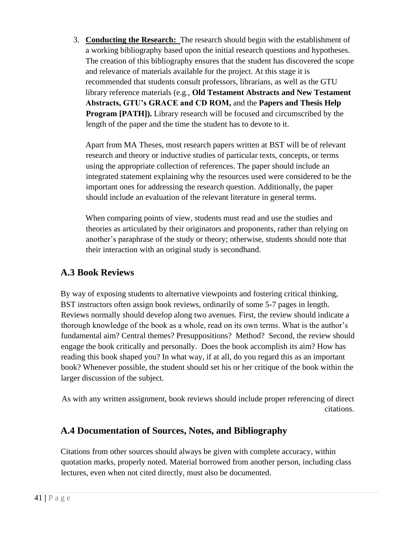3. **Conducting the Research:** The research should begin with the establishment of a working bibliography based upon the initial research questions and hypotheses. The creation of this bibliography ensures that the student has discovered the scope and relevance of materials available for the project. At this stage it is recommended that students consult professors, librarians, as well as the GTU library reference materials (e.g., **Old Testament Abstracts and New Testament Abstracts, GTU's GRACE and CD ROM,** and the **Papers and Thesis Help Program [PATH]).** Library research will be focused and circumscribed by the length of the paper and the time the student has to devote to it.

Apart from MA Theses, most research papers written at BST will be of relevant research and theory or inductive studies of particular texts, concepts, or terms using the appropriate collection of references. The paper should include an integrated statement explaining why the resources used were considered to be the important ones for addressing the research question. Additionally, the paper should include an evaluation of the relevant literature in general terms.

When comparing points of view, students must read and use the studies and theories as articulated by their originators and proponents, rather than relying on another's paraphrase of the study or theory; otherwise, students should note that their interaction with an original study is secondhand.

# **A.3 Book Reviews**

By way of exposing students to alternative viewpoints and fostering critical thinking, BST instructors often assign book reviews, ordinarily of some 5-7 pages in length. Reviews normally should develop along two avenues. First, the review should indicate a thorough knowledge of the book as a whole, read on its own terms. What is the author's fundamental aim? Central themes? Presuppositions? Method? Second, the review should engage the book critically and personally. Does the book accomplish its aim? How has reading this book shaped you? In what way, if at all, do you regard this as an important book? Whenever possible, the student should set his or her critique of the book within the larger discussion of the subject.

As with any written assignment, book reviews should include proper referencing of direct citations.

### **A.4 Documentation of Sources, Notes, and Bibliography**

Citations from other sources should always be given with complete accuracy, within quotation marks, properly noted. Material borrowed from another person, including class lectures, even when not cited directly, must also be documented.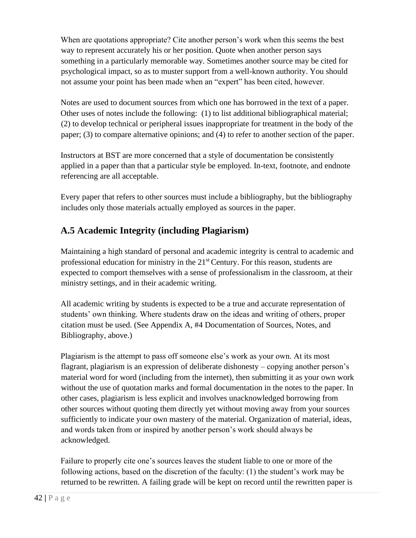When are quotations appropriate? Cite another person's work when this seems the best way to represent accurately his or her position. Quote when another person says something in a particularly memorable way. Sometimes another source may be cited for psychological impact, so as to muster support from a well-known authority. You should not assume your point has been made when an "expert" has been cited, however.

Notes are used to document sources from which one has borrowed in the text of a paper. Other uses of notes include the following: (1) to list additional bibliographical material; (2) to develop technical or peripheral issues inappropriate for treatment in the body of the paper; (3) to compare alternative opinions; and (4) to refer to another section of the paper.

Instructors at BST are more concerned that a style of documentation be consistently applied in a paper than that a particular style be employed. In-text, footnote, and endnote referencing are all acceptable.

Every paper that refers to other sources must include a bibliography, but the bibliography includes only those materials actually employed as sources in the paper.

# **A.5 Academic Integrity (including Plagiarism)**

Maintaining a high standard of personal and academic integrity is central to academic and professional education for ministry in the 21<sup>st</sup> Century. For this reason, students are expected to comport themselves with a sense of professionalism in the classroom, at their ministry settings, and in their academic writing.

All academic writing by students is expected to be a true and accurate representation of students' own thinking. Where students draw on the ideas and writing of others, proper citation must be used. (See Appendix A, #4 Documentation of Sources, Notes, and Bibliography, above.)

Plagiarism is the attempt to pass off someone else's work as your own. At its most flagrant, plagiarism is an expression of deliberate dishonesty – copying another person's material word for word (including from the internet), then submitting it as your own work without the use of quotation marks and formal documentation in the notes to the paper. In other cases, plagiarism is less explicit and involves unacknowledged borrowing from other sources without quoting them directly yet without moving away from your sources sufficiently to indicate your own mastery of the material. Organization of material, ideas, and words taken from or inspired by another person's work should always be acknowledged.

Failure to properly cite one's sources leaves the student liable to one or more of the following actions, based on the discretion of the faculty: (1) the student's work may be returned to be rewritten. A failing grade will be kept on record until the rewritten paper is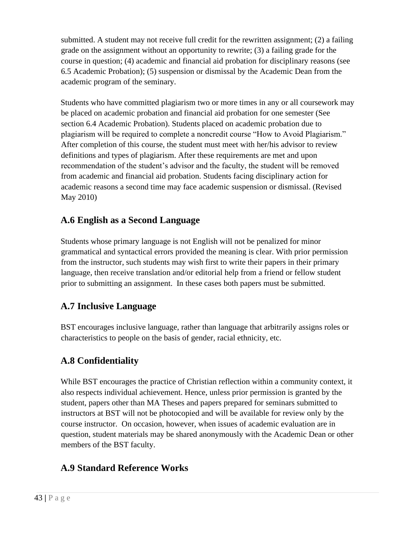submitted. A student may not receive full credit for the rewritten assignment; (2) a failing grade on the assignment without an opportunity to rewrite; (3) a failing grade for the course in question; (4) academic and financial aid probation for disciplinary reasons (see 6.5 Academic Probation); (5) suspension or dismissal by the Academic Dean from the academic program of the seminary.

Students who have committed plagiarism two or more times in any or all coursework may be placed on academic probation and financial aid probation for one semester (See section 6.4 Academic Probation). Students placed on academic probation due to plagiarism will be required to complete a noncredit course "How to Avoid Plagiarism." After completion of this course, the student must meet with her/his advisor to review definitions and types of plagiarism. After these requirements are met and upon recommendation of the student's advisor and the faculty, the student will be removed from academic and financial aid probation. Students facing disciplinary action for academic reasons a second time may face academic suspension or dismissal. (Revised May 2010)

# **A.6 English as a Second Language**

Students whose primary language is not English will not be penalized for minor grammatical and syntactical errors provided the meaning is clear. With prior permission from the instructor, such students may wish first to write their papers in their primary language, then receive translation and/or editorial help from a friend or fellow student prior to submitting an assignment. In these cases both papers must be submitted.

# **A.7 Inclusive Language**

BST encourages inclusive language, rather than language that arbitrarily assigns roles or characteristics to people on the basis of gender, racial ethnicity, etc.

# **A.8 Confidentiality**

While BST encourages the practice of Christian reflection within a community context, it also respects individual achievement. Hence, unless prior permission is granted by the student, papers other than MA Theses and papers prepared for seminars submitted to instructors at BST will not be photocopied and will be available for review only by the course instructor. On occasion, however, when issues of academic evaluation are in question, student materials may be shared anonymously with the Academic Dean or other members of the BST faculty.

# **A.9 Standard Reference Works**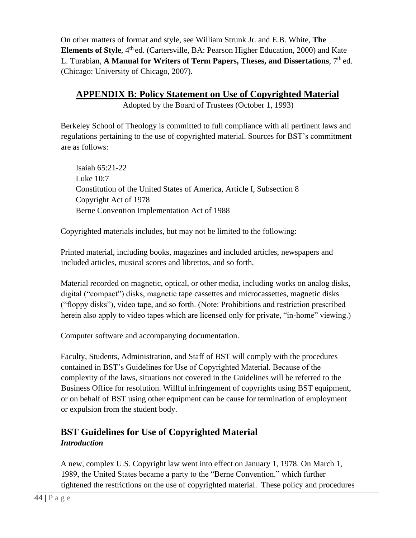On other matters of format and style, see William Strunk Jr. and E.B. White, **The Elements of Style**, 4<sup>th</sup> ed. (Cartersville, BA: Pearson Higher Education, 2000) and Kate L. Turabian, A Manual for Writers of Term Papers, Theses, and Dissertations. 7<sup>th</sup> ed. (Chicago: University of Chicago, 2007).

**APPENDIX B: Policy Statement on Use of Copyrighted Material**

Adopted by the Board of Trustees (October 1, 1993)

Berkeley School of Theology is committed to full compliance with all pertinent laws and regulations pertaining to the use of copyrighted material. Sources for BST's commitment are as follows:

Isaiah 65:21-22 Luke 10:7 Constitution of the United States of America, Article I, Subsection 8 Copyright Act of 1978 Berne Convention Implementation Act of 1988

Copyrighted materials includes, but may not be limited to the following:

Printed material, including books, magazines and included articles, newspapers and included articles, musical scores and librettos, and so forth.

Material recorded on magnetic, optical, or other media, including works on analog disks, digital ("compact") disks, magnetic tape cassettes and microcassettes, magnetic disks ("floppy disks"), video tape, and so forth. (Note: Prohibitions and restriction prescribed herein also apply to video tapes which are licensed only for private, "in-home" viewing.)

Computer software and accompanying documentation.

Faculty, Students, Administration, and Staff of BST will comply with the procedures contained in BST's Guidelines for Use of Copyrighted Material. Because of the complexity of the laws, situations not covered in the Guidelines will be referred to the Business Office for resolution. Willful infringement of copyrights using BST equipment, or on behalf of BST using other equipment can be cause for termination of employment or expulsion from the student body.

# **BST Guidelines for Use of Copyrighted Material**  *Introduction*

A new, complex U.S. Copyright law went into effect on January 1, 1978. On March 1, 1989, the United States became a party to the "Berne Convention." which further tightened the restrictions on the use of copyrighted material. These policy and procedures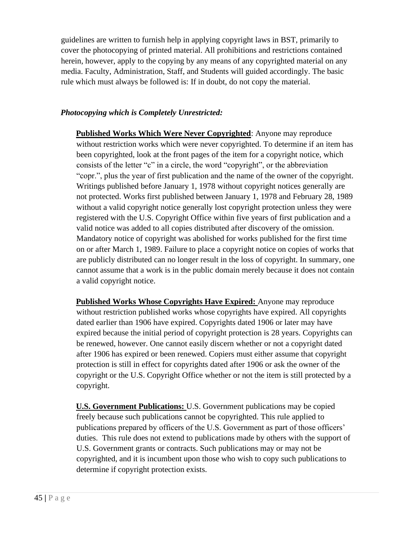guidelines are written to furnish help in applying copyright laws in BST, primarily to cover the photocopying of printed material. All prohibitions and restrictions contained herein, however, apply to the copying by any means of any copyrighted material on any media. Faculty, Administration, Staff, and Students will guided accordingly. The basic rule which must always be followed is: If in doubt, do not copy the material.

#### *Photocopying which is Completely Unrestricted:*

**Published Works Which Were Never Copyrighted**: Anyone may reproduce without restriction works which were never copyrighted. To determine if an item has been copyrighted, look at the front pages of the item for a copyright notice, which consists of the letter "c" in a circle, the word "copyright", or the abbreviation "copr.", plus the year of first publication and the name of the owner of the copyright. Writings published before January 1, 1978 without copyright notices generally are not protected. Works first published between January 1, 1978 and February 28, 1989 without a valid copyright notice generally lost copyright protection unless they were registered with the U.S. Copyright Office within five years of first publication and a valid notice was added to all copies distributed after discovery of the omission. Mandatory notice of copyright was abolished for works published for the first time on or after March 1, 1989. Failure to place a copyright notice on copies of works that are publicly distributed can no longer result in the loss of copyright. In summary, one cannot assume that a work is in the public domain merely because it does not contain a valid copyright notice.

**Published Works Whose Copyrights Have Expired:** Anyone may reproduce without restriction published works whose copyrights have expired. All copyrights dated earlier than 1906 have expired. Copyrights dated 1906 or later may have expired because the initial period of copyright protection is 28 years. Copyrights can be renewed, however. One cannot easily discern whether or not a copyright dated after 1906 has expired or been renewed. Copiers must either assume that copyright protection is still in effect for copyrights dated after 1906 or ask the owner of the copyright or the U.S. Copyright Office whether or not the item is still protected by a copyright.

**U.S. Government Publications:** U.S. Government publications may be copied freely because such publications cannot be copyrighted. This rule applied to publications prepared by officers of the U.S. Government as part of those officers' duties. This rule does not extend to publications made by others with the support of U.S. Government grants or contracts. Such publications may or may not be copyrighted, and it is incumbent upon those who wish to copy such publications to determine if copyright protection exists.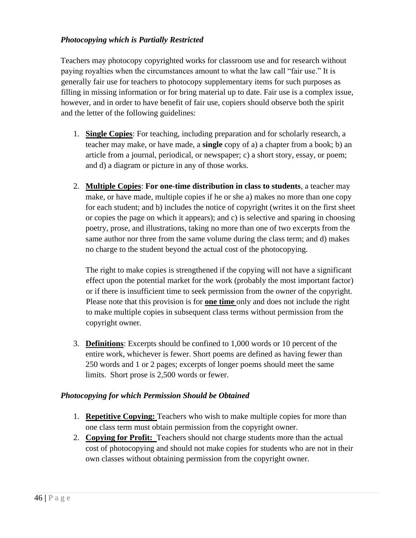#### *Photocopying which is Partially Restricted*

Teachers may photocopy copyrighted works for classroom use and for research without paying royalties when the circumstances amount to what the law call "fair use." It is generally fair use for teachers to photocopy supplementary items for such purposes as filling in missing information or for bring material up to date. Fair use is a complex issue, however, and in order to have benefit of fair use, copiers should observe both the spirit and the letter of the following guidelines:

- 1. **Single Copies**: For teaching, including preparation and for scholarly research, a teacher may make, or have made, a **single** copy of a) a chapter from a book; b) an article from a journal, periodical, or newspaper; c) a short story, essay, or poem; and d) a diagram or picture in any of those works.
- 2. **Multiple Copies**: **For one-time distribution in class to students**, a teacher may make, or have made, multiple copies if he or she a) makes no more than one copy for each student; and b) includes the notice of copyright (writes it on the first sheet or copies the page on which it appears); and c) is selective and sparing in choosing poetry, prose, and illustrations, taking no more than one of two excerpts from the same author nor three from the same volume during the class term; and d) makes no charge to the student beyond the actual cost of the photocopying.

The right to make copies is strengthened if the copying will not have a significant effect upon the potential market for the work (probably the most important factor) or if there is insufficient time to seek permission from the owner of the copyright. Please note that this provision is for **one time** only and does not include the right to make multiple copies in subsequent class terms without permission from the copyright owner.

3. **Definitions**: Excerpts should be confined to 1,000 words or 10 percent of the entire work, whichever is fewer. Short poems are defined as having fewer than 250 words and 1 or 2 pages; excerpts of longer poems should meet the same limits. Short prose is 2,500 words or fewer.

#### *Photocopying for which Permission Should be Obtained*

- 1. **Repetitive Copying:** Teachers who wish to make multiple copies for more than one class term must obtain permission from the copyright owner.
- 2. **Copying for Profit:** Teachers should not charge students more than the actual cost of photocopying and should not make copies for students who are not in their own classes without obtaining permission from the copyright owner.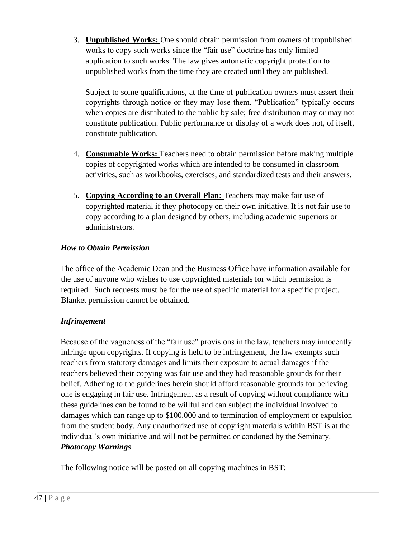3. **Unpublished Works:** One should obtain permission from owners of unpublished works to copy such works since the "fair use" doctrine has only limited application to such works. The law gives automatic copyright protection to unpublished works from the time they are created until they are published.

Subject to some qualifications, at the time of publication owners must assert their copyrights through notice or they may lose them. "Publication" typically occurs when copies are distributed to the public by sale; free distribution may or may not constitute publication. Public performance or display of a work does not, of itself, constitute publication.

- 4. **Consumable Works:** Teachers need to obtain permission before making multiple copies of copyrighted works which are intended to be consumed in classroom activities, such as workbooks, exercises, and standardized tests and their answers.
- 5. **Copying According to an Overall Plan:** Teachers may make fair use of copyrighted material if they photocopy on their own initiative. It is not fair use to copy according to a plan designed by others, including academic superiors or administrators.

#### *How to Obtain Permission*

The office of the Academic Dean and the Business Office have information available for the use of anyone who wishes to use copyrighted materials for which permission is required. Such requests must be for the use of specific material for a specific project. Blanket permission cannot be obtained.

#### *Infringement*

Because of the vagueness of the "fair use" provisions in the law, teachers may innocently infringe upon copyrights. If copying is held to be infringement, the law exempts such teachers from statutory damages and limits their exposure to actual damages if the teachers believed their copying was fair use and they had reasonable grounds for their belief. Adhering to the guidelines herein should afford reasonable grounds for believing one is engaging in fair use. Infringement as a result of copying without compliance with these guidelines can be found to be willful and can subject the individual involved to damages which can range up to \$100,000 and to termination of employment or expulsion from the student body. Any unauthorized use of copyright materials within BST is at the individual's own initiative and will not be permitted or condoned by the Seminary. *Photocopy Warnings* 

The following notice will be posted on all copying machines in BST: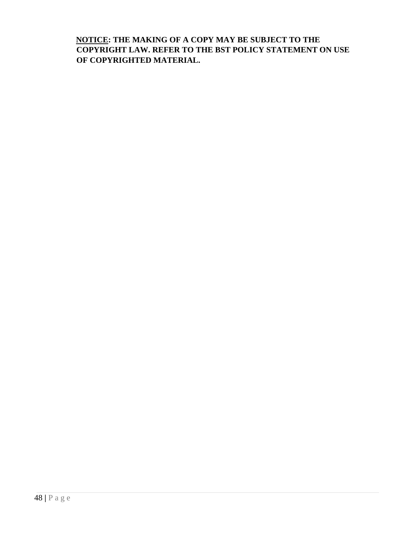**NOTICE: THE MAKING OF A COPY MAY BE SUBJECT TO THE COPYRIGHT LAW. REFER TO THE BST POLICY STATEMENT ON USE OF COPYRIGHTED MATERIAL.**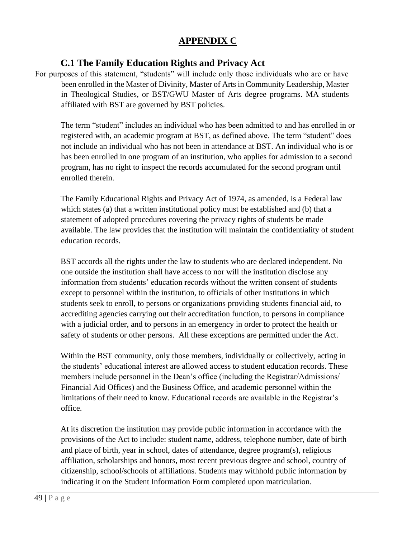# **APPENDIX C**

### **C.1 The Family Education Rights and Privacy Act**

For purposes of this statement, "students" will include only those individuals who are or have been enrolled in the Master of Divinity, Master of Arts in Community Leadership, Master in Theological Studies, or BST/GWU Master of Arts degree programs. MA students affiliated with BST are governed by BST policies.

The term "student" includes an individual who has been admitted to and has enrolled in or registered with, an academic program at BST, as defined above. The term "student" does not include an individual who has not been in attendance at BST. An individual who is or has been enrolled in one program of an institution, who applies for admission to a second program, has no right to inspect the records accumulated for the second program until enrolled therein.

The Family Educational Rights and Privacy Act of 1974, as amended, is a Federal law which states (a) that a written institutional policy must be established and (b) that a statement of adopted procedures covering the privacy rights of students be made available. The law provides that the institution will maintain the confidentiality of student education records.

BST accords all the rights under the law to students who are declared independent. No one outside the institution shall have access to nor will the institution disclose any information from students' education records without the written consent of students except to personnel within the institution, to officials of other institutions in which students seek to enroll, to persons or organizations providing students financial aid, to accrediting agencies carrying out their accreditation function, to persons in compliance with a judicial order, and to persons in an emergency in order to protect the health or safety of students or other persons. All these exceptions are permitted under the Act.

Within the BST community, only those members, individually or collectively, acting in the students' educational interest are allowed access to student education records. These members include personnel in the Dean's office (including the Registrar/Admissions/ Financial Aid Offices) and the Business Office, and academic personnel within the limitations of their need to know. Educational records are available in the Registrar's office.

At its discretion the institution may provide public information in accordance with the provisions of the Act to include: student name, address, telephone number, date of birth and place of birth, year in school, dates of attendance, degree program(s), religious affiliation, scholarships and honors, most recent previous degree and school, country of citizenship, school/schools of affiliations. Students may withhold public information by indicating it on the Student Information Form completed upon matriculation.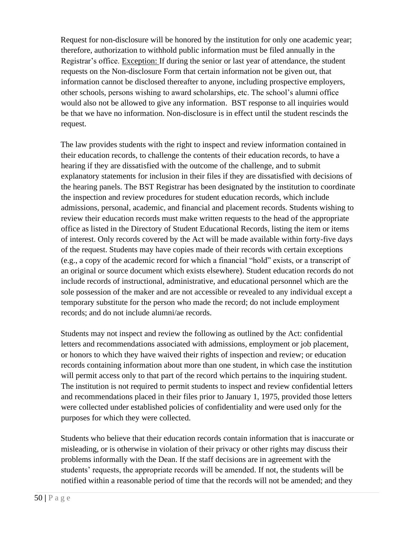Request for non-disclosure will be honored by the institution for only one academic year; therefore, authorization to withhold public information must be filed annually in the Registrar's office. Exception: If during the senior or last year of attendance, the student requests on the Non-disclosure Form that certain information not be given out, that information cannot be disclosed thereafter to anyone, including prospective employers, other schools, persons wishing to award scholarships, etc. The school's alumni office would also not be allowed to give any information. BST response to all inquiries would be that we have no information. Non-disclosure is in effect until the student rescinds the request.

The law provides students with the right to inspect and review information contained in their education records, to challenge the contents of their education records, to have a hearing if they are dissatisfied with the outcome of the challenge, and to submit explanatory statements for inclusion in their files if they are dissatisfied with decisions of the hearing panels. The BST Registrar has been designated by the institution to coordinate the inspection and review procedures for student education records, which include admissions, personal, academic, and financial and placement records. Students wishing to review their education records must make written requests to the head of the appropriate office as listed in the Directory of Student Educational Records, listing the item or items of interest. Only records covered by the Act will be made available within forty-five days of the request. Students may have copies made of their records with certain exceptions (e.g., a copy of the academic record for which a financial "hold" exists, or a transcript of an original or source document which exists elsewhere). Student education records do not include records of instructional, administrative, and educational personnel which are the sole possession of the maker and are not accessible or revealed to any individual except a temporary substitute for the person who made the record; do not include employment records; and do not include alumni/ae records.

Students may not inspect and review the following as outlined by the Act: confidential letters and recommendations associated with admissions, employment or job placement, or honors to which they have waived their rights of inspection and review; or education records containing information about more than one student, in which case the institution will permit access only to that part of the record which pertains to the inquiring student. The institution is not required to permit students to inspect and review confidential letters and recommendations placed in their files prior to January 1, 1975, provided those letters were collected under established policies of confidentiality and were used only for the purposes for which they were collected.

Students who believe that their education records contain information that is inaccurate or misleading, or is otherwise in violation of their privacy or other rights may discuss their problems informally with the Dean. If the staff decisions are in agreement with the students' requests, the appropriate records will be amended. If not, the students will be notified within a reasonable period of time that the records will not be amended; and they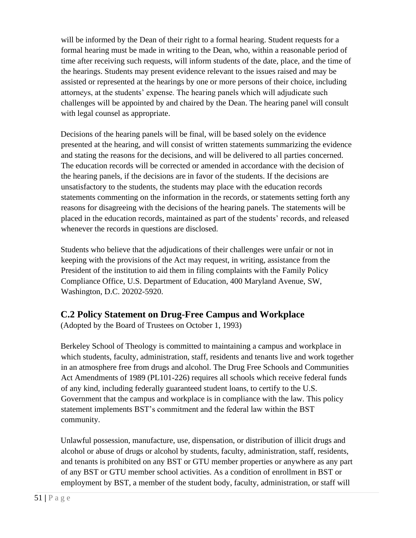will be informed by the Dean of their right to a formal hearing. Student requests for a formal hearing must be made in writing to the Dean, who, within a reasonable period of time after receiving such requests, will inform students of the date, place, and the time of the hearings. Students may present evidence relevant to the issues raised and may be assisted or represented at the hearings by one or more persons of their choice, including attorneys, at the students' expense. The hearing panels which will adjudicate such challenges will be appointed by and chaired by the Dean. The hearing panel will consult with legal counsel as appropriate.

Decisions of the hearing panels will be final, will be based solely on the evidence presented at the hearing, and will consist of written statements summarizing the evidence and stating the reasons for the decisions, and will be delivered to all parties concerned. The education records will be corrected or amended in accordance with the decision of the hearing panels, if the decisions are in favor of the students. If the decisions are unsatisfactory to the students, the students may place with the education records statements commenting on the information in the records, or statements setting forth any reasons for disagreeing with the decisions of the hearing panels. The statements will be placed in the education records, maintained as part of the students' records, and released whenever the records in questions are disclosed.

Students who believe that the adjudications of their challenges were unfair or not in keeping with the provisions of the Act may request, in writing, assistance from the President of the institution to aid them in filing complaints with the Family Policy Compliance Office, U.S. Department of Education, 400 Maryland Avenue, SW, Washington, D.C. 20202-5920.

### **C.2 Policy Statement on Drug-Free Campus and Workplace**

(Adopted by the Board of Trustees on October 1, 1993)

Berkeley School of Theology is committed to maintaining a campus and workplace in which students, faculty, administration, staff, residents and tenants live and work together in an atmosphere free from drugs and alcohol. The Drug Free Schools and Communities Act Amendments of 1989 (PL101-226) requires all schools which receive federal funds of any kind, including federally guaranteed student loans, to certify to the U.S. Government that the campus and workplace is in compliance with the law. This policy statement implements BST's commitment and the federal law within the BST community.

Unlawful possession, manufacture, use, dispensation, or distribution of illicit drugs and alcohol or abuse of drugs or alcohol by students, faculty, administration, staff, residents, and tenants is prohibited on any BST or GTU member properties or anywhere as any part of any BST or GTU member school activities. As a condition of enrollment in BST or employment by BST, a member of the student body, faculty, administration, or staff will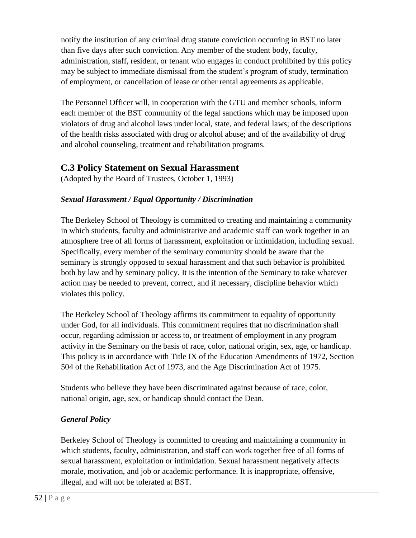notify the institution of any criminal drug statute conviction occurring in BST no later than five days after such conviction. Any member of the student body, faculty, administration, staff, resident, or tenant who engages in conduct prohibited by this policy may be subject to immediate dismissal from the student's program of study, termination of employment, or cancellation of lease or other rental agreements as applicable.

The Personnel Officer will, in cooperation with the GTU and member schools, inform each member of the BST community of the legal sanctions which may be imposed upon violators of drug and alcohol laws under local, state, and federal laws; of the descriptions of the health risks associated with drug or alcohol abuse; and of the availability of drug and alcohol counseling, treatment and rehabilitation programs.

### **C.3 Policy Statement on Sexual Harassment**

(Adopted by the Board of Trustees, October 1, 1993)

### *Sexual Harassment / Equal Opportunity / Discrimination*

The Berkeley School of Theology is committed to creating and maintaining a community in which students, faculty and administrative and academic staff can work together in an atmosphere free of all forms of harassment, exploitation or intimidation, including sexual. Specifically, every member of the seminary community should be aware that the seminary is strongly opposed to sexual harassment and that such behavior is prohibited both by law and by seminary policy. It is the intention of the Seminary to take whatever action may be needed to prevent, correct, and if necessary, discipline behavior which violates this policy.

The Berkeley School of Theology affirms its commitment to equality of opportunity under God, for all individuals. This commitment requires that no discrimination shall occur, regarding admission or access to, or treatment of employment in any program activity in the Seminary on the basis of race, color, national origin, sex, age, or handicap. This policy is in accordance with Title IX of the Education Amendments of 1972, Section 504 of the Rehabilitation Act of 1973, and the Age Discrimination Act of 1975.

Students who believe they have been discriminated against because of race, color, national origin, age, sex, or handicap should contact the Dean.

### *General Policy*

Berkeley School of Theology is committed to creating and maintaining a community in which students, faculty, administration, and staff can work together free of all forms of sexual harassment, exploitation or intimidation. Sexual harassment negatively affects morale, motivation, and job or academic performance. It is inappropriate, offensive, illegal, and will not be tolerated at BST.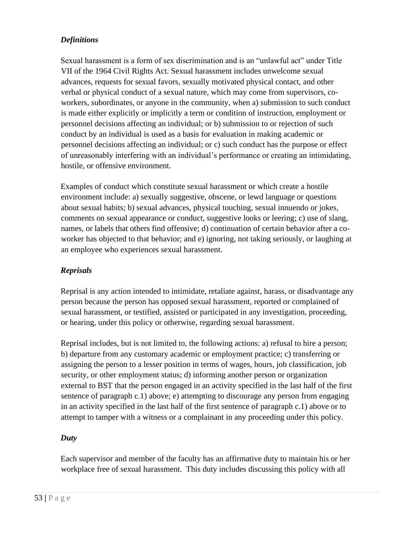### *Definitions*

Sexual harassment is a form of sex discrimination and is an "unlawful act" under Title VII of the 1964 Civil Rights Act. Sexual harassment includes unwelcome sexual advances, requests for sexual favors, sexually motivated physical contact, and other verbal or physical conduct of a sexual nature, which may come from supervisors, coworkers, subordinates, or anyone in the community, when a) submission to such conduct is made either explicitly or implicitly a term or condition of instruction, employment or personnel decisions affecting an individual; or b) submission to or rejection of such conduct by an individual is used as a basis for evaluation in making academic or personnel decisions affecting an individual; or c) such conduct has the purpose or effect of unreasonably interfering with an individual's performance or creating an intimidating, hostile, or offensive environment.

Examples of conduct which constitute sexual harassment or which create a hostile environment include: a) sexually suggestive, obscene, or lewd language or questions about sexual habits; b) sexual advances, physical touching, sexual innuendo or jokes, comments on sexual appearance or conduct, suggestive looks or leering; c) use of slang, names, or labels that others find offensive; d) continuation of certain behavior after a coworker has objected to that behavior; and e) ignoring, not taking seriously, or laughing at an employee who experiences sexual harassment.

#### *Reprisals*

Reprisal is any action intended to intimidate, retaliate against, harass, or disadvantage any person because the person has opposed sexual harassment, reported or complained of sexual harassment, or testified, assisted or participated in any investigation, proceeding, or hearing, under this policy or otherwise, regarding sexual harassment.

Reprisal includes, but is not limited to, the following actions: a) refusal to hire a person; b) departure from any customary academic or employment practice; c) transferring or assigning the person to a lesser position in terms of wages, hours, job classification, job security, or other employment status; d) informing another person or organization external to BST that the person engaged in an activity specified in the last half of the first sentence of paragraph c.1) above; e) attempting to discourage any person from engaging in an activity specified in the last half of the first sentence of paragraph c.1) above or to attempt to tamper with a witness or a complainant in any proceeding under this policy.

#### *Duty*

Each supervisor and member of the faculty has an affirmative duty to maintain his or her workplace free of sexual harassment. This duty includes discussing this policy with all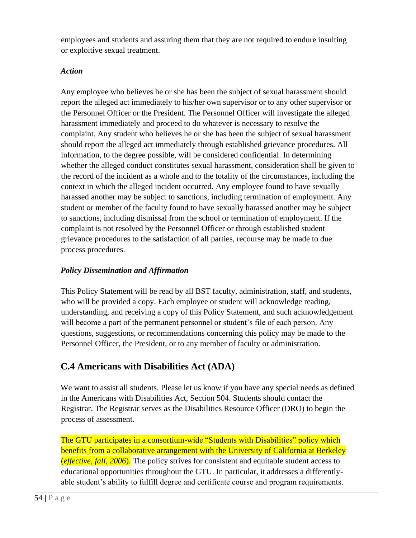employees and students and assuring them that they are not required to endure insulting or exploitive sexual treatment.

#### *Action*

Any employee who believes he or she has been the subject of sexual harassment should report the alleged act immediately to his/her own supervisor or to any other supervisor or the Personnel Officer or the President. The Personnel Officer will investigate the alleged harassment immediately and proceed to do whatever is necessary to resolve the complaint. Any student who believes he or she has been the subject of sexual harassment should report the alleged act immediately through established grievance procedures. All information, to the degree possible, will be considered confidential. In determining whether the alleged conduct constitutes sexual harassment, consideration shall be given to the record of the incident as a whole and to the totality of the circumstances, including the context in which the alleged incident occurred. Any employee found to have sexually harassed another may be subject to sanctions, including termination of employment. Any student or member of the faculty found to have sexually harassed another may be subject to sanctions, including dismissal from the school or termination of employment. If the complaint is not resolved by the Personnel Officer or through established student grievance procedures to the satisfaction of all parties, recourse may be made to due process procedures.

### *Policy Dissemination and Affirmation*

This Policy Statement will be read by all BST faculty, administration, staff, and students, who will be provided a copy. Each employee or student will acknowledge reading, understanding, and receiving a copy of this Policy Statement, and such acknowledgement will become a part of the permanent personnel or student's file of each person. Any questions, suggestions, or recommendations concerning this policy may be made to the Personnel Officer, the President, or to any member of faculty or administration.

# **C.4 Americans with Disabilities Act (ADA)**

We want to assist all students. Please let us know if you have any special needs as defined in the Americans with Disabilities Act, Section 504. Students should contact the Registrar. The Registrar serves as the Disabilities Resource Officer (DRO) to begin the process of assessment.

The GTU participates in a consortium-wide "Students with Disabilities" policy which benefits from a collaborative arrangement with the University of California at Berkeley (*effective, fall, 2006*). The policy strives for consistent and equitable student access to educational opportunities throughout the GTU. In particular, it addresses a differentlyable student's ability to fulfill degree and certificate course and program requirements.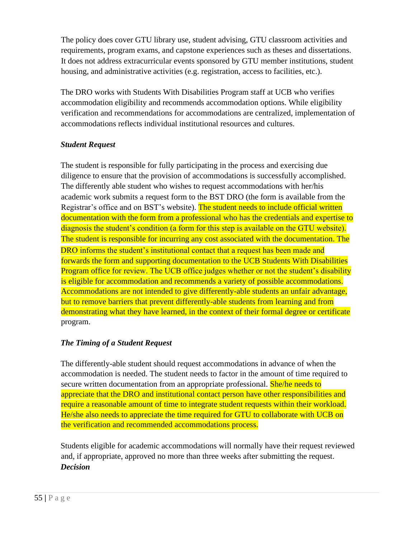The policy does cover GTU library use, student advising, GTU classroom activities and requirements, program exams, and capstone experiences such as theses and dissertations. It does not address extracurricular events sponsored by GTU member institutions, student housing, and administrative activities (e.g. registration, access to facilities, etc.).

The DRO works with Students With Disabilities Program staff at UCB who verifies accommodation eligibility and recommends accommodation options. While eligibility verification and recommendations for accommodations are centralized, implementation of accommodations reflects individual institutional resources and cultures.

### *Student Request*

The student is responsible for fully participating in the process and exercising due diligence to ensure that the provision of accommodations is successfully accomplished. The differently able student who wishes to request accommodations with her/his academic work submits a request form to the BST DRO (the form is available from the Registrar's office and on BST's website). The student needs to include official written documentation with the form from a professional who has the credentials and expertise to diagnosis the student's condition (a form for this step is available on the GTU website). The student is responsible for incurring any cost associated with the documentation. The DRO informs the student's institutional contact that a request has been made and forwards the form and supporting documentation to the UCB Students With Disabilities Program office for review. The UCB office judges whether or not the student's disability is eligible for accommodation and recommends a variety of possible accommodations. Accommodations are not intended to give differently-able students an unfair advantage, but to remove barriers that prevent differently-able students from learning and from demonstrating what they have learned, in the context of their formal degree or certificate program.

### *The Timing of a Student Request*

The differently-able student should request accommodations in advance of when the accommodation is needed. The student needs to factor in the amount of time required to secure written documentation from an appropriate professional. **She/he needs to** appreciate that the DRO and institutional contact person have other responsibilities and require a reasonable amount of time to integrate student requests within their workload. He/she also needs to appreciate the time required for GTU to collaborate with UCB on the verification and recommended accommodations process.

Students eligible for academic accommodations will normally have their request reviewed and, if appropriate, approved no more than three weeks after submitting the request. *Decision*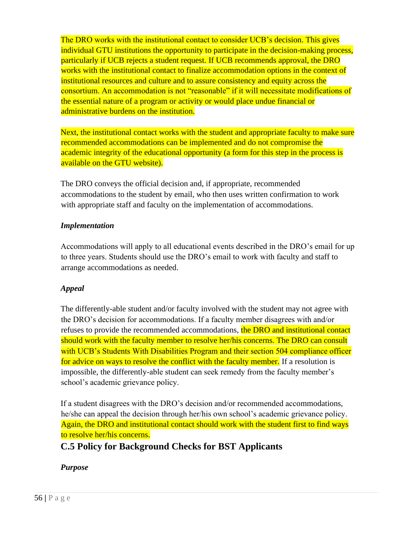The DRO works with the institutional contact to consider UCB's decision. This gives individual GTU institutions the opportunity to participate in the decision-making process, particularly if UCB rejects a student request. If UCB recommends approval, the DRO works with the institutional contact to finalize accommodation options in the context of institutional resources and culture and to assure consistency and equity across the consortium. An accommodation is not "reasonable" if it will necessitate modifications of the essential nature of a program or activity or would place undue financial or administrative burdens on the institution.

Next, the institutional contact works with the student and appropriate faculty to make sure recommended accommodations can be implemented and do not compromise the academic integrity of the educational opportunity (a form for this step in the process is available on the GTU website).

The DRO conveys the official decision and, if appropriate, recommended accommodations to the student by email, who then uses written confirmation to work with appropriate staff and faculty on the implementation of accommodations.

#### *Implementation*

Accommodations will apply to all educational events described in the DRO's email for up to three years. Students should use the DRO's email to work with faculty and staff to arrange accommodations as needed.

### *Appeal*

The differently-able student and/or faculty involved with the student may not agree with the DRO's decision for accommodations. If a faculty member disagrees with and/or refuses to provide the recommended accommodations, the DRO and institutional contact should work with the faculty member to resolve her/his concerns. The DRO can consult with UCB's Students With Disabilities Program and their section 504 compliance officer for advice on ways to resolve the conflict with the faculty member. If a resolution is impossible, the differently-able student can seek remedy from the faculty member's school's academic grievance policy.

If a student disagrees with the DRO's decision and/or recommended accommodations, he/she can appeal the decision through her/his own school's academic grievance policy. Again, the DRO and institutional contact should work with the student first to find ways to resolve her/his concerns.

**C.5 Policy for Background Checks for BST Applicants** 

### *Purpose*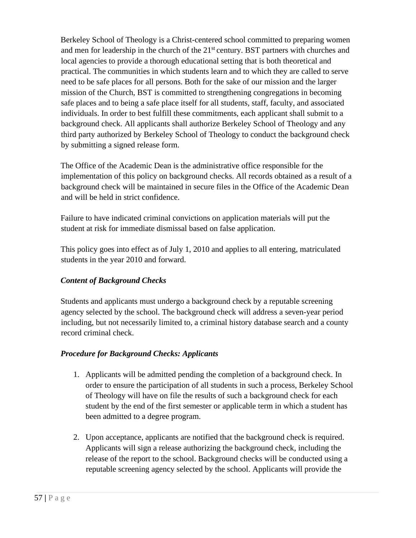Berkeley School of Theology is a Christ-centered school committed to preparing women and men for leadership in the church of the 21<sup>st</sup> century. BST partners with churches and local agencies to provide a thorough educational setting that is both theoretical and practical. The communities in which students learn and to which they are called to serve need to be safe places for all persons. Both for the sake of our mission and the larger mission of the Church, BST is committed to strengthening congregations in becoming safe places and to being a safe place itself for all students, staff, faculty, and associated individuals. In order to best fulfill these commitments, each applicant shall submit to a background check. All applicants shall authorize Berkeley School of Theology and any third party authorized by Berkeley School of Theology to conduct the background check by submitting a signed release form.

The Office of the Academic Dean is the administrative office responsible for the implementation of this policy on background checks. All records obtained as a result of a background check will be maintained in secure files in the Office of the Academic Dean and will be held in strict confidence.

Failure to have indicated criminal convictions on application materials will put the student at risk for immediate dismissal based on false application.

This policy goes into effect as of July 1, 2010 and applies to all entering, matriculated students in the year 2010 and forward.

### *Content of Background Checks*

Students and applicants must undergo a background check by a reputable screening agency selected by the school. The background check will address a seven-year period including, but not necessarily limited to, a criminal history database search and a county record criminal check.

#### *Procedure for Background Checks: Applicants*

- 1. Applicants will be admitted pending the completion of a background check. In order to ensure the participation of all students in such a process, Berkeley School of Theology will have on file the results of such a background check for each student by the end of the first semester or applicable term in which a student has been admitted to a degree program.
- 2. Upon acceptance, applicants are notified that the background check is required. Applicants will sign a release authorizing the background check, including the release of the report to the school. Background checks will be conducted using a reputable screening agency selected by the school. Applicants will provide the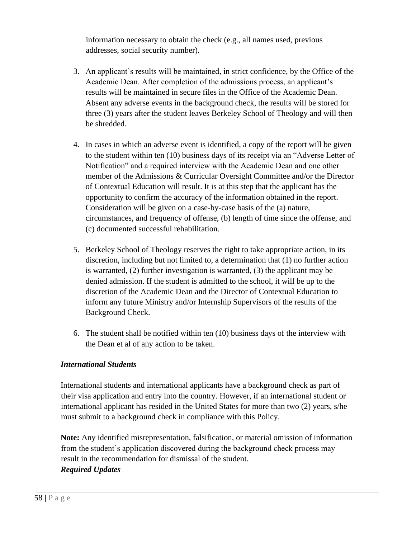information necessary to obtain the check (e.g., all names used, previous addresses, social security number).

- 3. An applicant's results will be maintained, in strict confidence, by the Office of the Academic Dean. After completion of the admissions process, an applicant's results will be maintained in secure files in the Office of the Academic Dean. Absent any adverse events in the background check, the results will be stored for three (3) years after the student leaves Berkeley School of Theology and will then be shredded.
- 4. In cases in which an adverse event is identified, a copy of the report will be given to the student within ten (10) business days of its receipt via an "Adverse Letter of Notification" and a required interview with the Academic Dean and one other member of the Admissions & Curricular Oversight Committee and/or the Director of Contextual Education will result. It is at this step that the applicant has the opportunity to confirm the accuracy of the information obtained in the report. Consideration will be given on a case-by-case basis of the (a) nature, circumstances, and frequency of offense, (b) length of time since the offense, and (c) documented successful rehabilitation.
- 5. Berkeley School of Theology reserves the right to take appropriate action, in its discretion, including but not limited to, a determination that (1) no further action is warranted, (2) further investigation is warranted, (3) the applicant may be denied admission. If the student is admitted to the school, it will be up to the discretion of the Academic Dean and the Director of Contextual Education to inform any future Ministry and/or Internship Supervisors of the results of the Background Check.
- 6. The student shall be notified within ten (10) business days of the interview with the Dean et al of any action to be taken.

### *International Students*

International students and international applicants have a background check as part of their visa application and entry into the country. However, if an international student or international applicant has resided in the United States for more than two (2) years, s/he must submit to a background check in compliance with this Policy.

**Note:** Any identified misrepresentation, falsification, or material omission of information from the student's application discovered during the background check process may result in the recommendation for dismissal of the student. *Required Updates*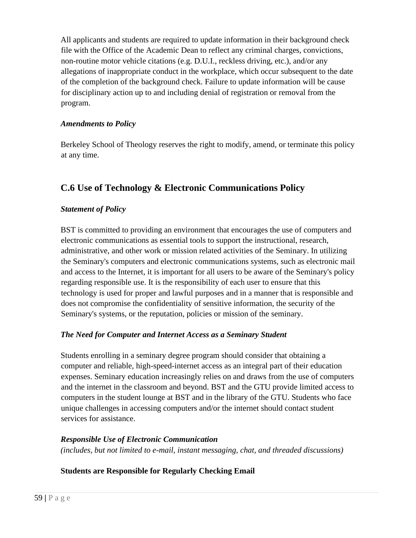All applicants and students are required to update information in their background check file with the Office of the Academic Dean to reflect any criminal charges, convictions, non-routine motor vehicle citations (e.g. D.U.I., reckless driving, etc.), and/or any allegations of inappropriate conduct in the workplace, which occur subsequent to the date of the completion of the background check. Failure to update information will be cause for disciplinary action up to and including denial of registration or removal from the program.

#### *Amendments to Policy*

Berkeley School of Theology reserves the right to modify, amend, or terminate this policy at any time.

# **C.6 Use of Technology & Electronic Communications Policy**

### *Statement of Policy*

BST is committed to providing an environment that encourages the use of computers and electronic communications as essential tools to support the instructional, research, administrative, and other work or mission related activities of the Seminary. In utilizing the Seminary's computers and electronic communications systems, such as electronic mail and access to the Internet, it is important for all users to be aware of the Seminary's policy regarding responsible use. It is the responsibility of each user to ensure that this technology is used for proper and lawful purposes and in a manner that is responsible and does not compromise the confidentiality of sensitive information, the security of the Seminary's systems, or the reputation, policies or mission of the seminary.

### *The Need for Computer and Internet Access as a Seminary Student*

Students enrolling in a seminary degree program should consider that obtaining a computer and reliable, high-speed-internet access as an integral part of their education expenses. Seminary education increasingly relies on and draws from the use of computers and the internet in the classroom and beyond. BST and the GTU provide limited access to computers in the student lounge at BST and in the library of the GTU. Students who face unique challenges in accessing computers and/or the internet should contact student services for assistance.

#### *Responsible Use of Electronic Communication*

*(includes, but not limited to e-mail, instant messaging, chat, and threaded discussions)* 

### **Students are Responsible for Regularly Checking Email**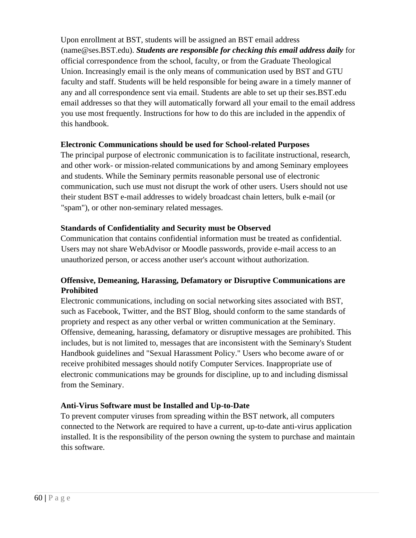Upon enrollment at BST, students will be assigned an BST email address (name@ses.BST.edu). *Students are responsible for checking this email address daily* for official correspondence from the school, faculty, or from the Graduate Theological Union. Increasingly email is the only means of communication used by BST and GTU faculty and staff. Students will be held responsible for being aware in a timely manner of any and all correspondence sent via email. Students are able to set up their ses.BST.edu email addresses so that they will automatically forward all your email to the email address you use most frequently. Instructions for how to do this are included in the appendix of this handbook.

#### **Electronic Communications should be used for School-related Purposes**

The principal purpose of electronic communication is to facilitate instructional, research, and other work- or mission-related communications by and among Seminary employees and students. While the Seminary permits reasonable personal use of electronic communication, such use must not disrupt the work of other users. Users should not use their student BST e-mail addresses to widely broadcast chain letters, bulk e-mail (or "spam"), or other non-seminary related messages.

#### **Standards of Confidentiality and Security must be Observed**

Communication that contains confidential information must be treated as confidential. Users may not share WebAdvisor or Moodle passwords, provide e-mail access to an unauthorized person, or access another user's account without authorization.

#### **Offensive, Demeaning, Harassing, Defamatory or Disruptive Communications are Prohibited**

Electronic communications, including on social networking sites associated with BST, such as Facebook, Twitter, and the BST Blog, should conform to the same standards of propriety and respect as any other verbal or written communication at the Seminary. Offensive, demeaning, harassing, defamatory or disruptive messages are prohibited. This includes, but is not limited to, messages that are inconsistent with the Seminary's Student Handbook guidelines and "Sexual Harassment Policy." Users who become aware of or receive prohibited messages should notify Computer Services. Inappropriate use of electronic communications may be grounds for discipline, up to and including dismissal from the Seminary.

#### **Anti-Virus Software must be Installed and Up-to-Date**

To prevent computer viruses from spreading within the BST network, all computers connected to the Network are required to have a current, up-to-date anti-virus application installed. It is the responsibility of the person owning the system to purchase and maintain this software.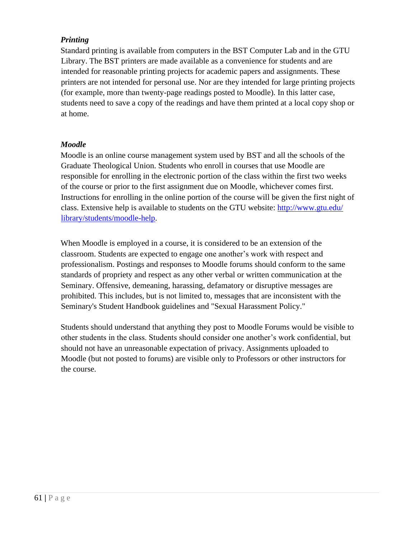#### *Printing*

Standard printing is available from computers in the BST Computer Lab and in the GTU Library. The BST printers are made available as a convenience for students and are intended for reasonable printing projects for academic papers and assignments. These printers are not intended for personal use. Nor are they intended for large printing projects (for example, more than twenty-page readings posted to Moodle). In this latter case, students need to save a copy of the readings and have them printed at a local copy shop or at home.

#### *Moodle*

Moodle is an online course management system used by BST and all the schools of the Graduate Theological Union. Students who enroll in courses that use Moodle are responsible for enrolling in the electronic portion of the class within the first two weeks of the course or prior to the first assignment due on Moodle, whichever comes first. Instructions for enrolling in the online portion of the course will be given the first night of class. Extensive help is available to students on the GTU website:<http://www.gtu.edu/> library/students/moodle-help.

When Moodle is employed in a course, it is considered to be an extension of the classroom. Students are expected to engage one another's work with respect and professionalism. Postings and responses to Moodle forums should conform to the same standards of propriety and respect as any other verbal or written communication at the Seminary. Offensive, demeaning, harassing, defamatory or disruptive messages are prohibited. This includes, but is not limited to, messages that are inconsistent with the Seminary's Student Handbook guidelines and "Sexual Harassment Policy."

Students should understand that anything they post to Moodle Forums would be visible to other students in the class. Students should consider one another's work confidential, but should not have an unreasonable expectation of privacy. Assignments uploaded to Moodle (but not posted to forums) are visible only to Professors or other instructors for the course.